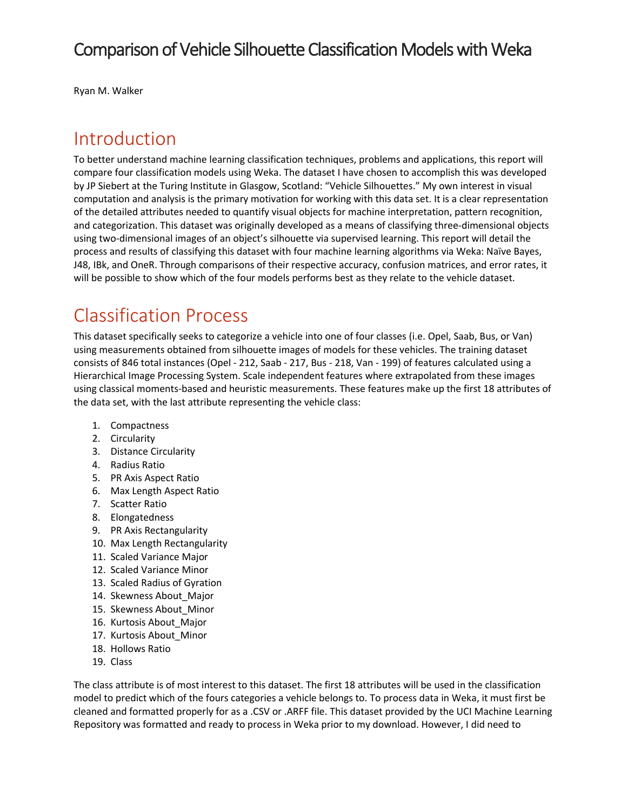# Comparison of Vehicle Silhouette Classification Models with Weka

Ryan M. Walker

## Introduction

To better understand machine learning classification techniques, problems and applications, this report will compare four classification models using Weka. The dataset I have chosen to accomplish this was developed by JP Siebert at the Turing Institute in Glasgow, Scotland: "Vehicle Silhouettes." My own interest in visual computation and analysis is the primary motivation for working with this data set. It is a clear representation of the detailed attributes needed to quantify visual objects for machine interpretation, pattern recognition, and categorization. This dataset was originally developed as a means of classifying three-dimensional objects using two-dimensional images of an object's silhouette via supervised learning. This report will detail the process and results of classifying this dataset with four machine learning algorithms via Weka: Naïve Bayes, J48, IBk, and OneR. Through comparisons of their respective accuracy, confusion matrices, and error rates, it will be possible to show which of the four models performs best as they relate to the vehicle dataset.

# Classification Process

This dataset specifically seeks to categorize a vehicle into one of four classes (i.e. Opel, Saab, Bus, or Van) using measurements obtained from silhouette images of models for these vehicles. The training dataset consists of 846 total instances (Opel - 212, Saab - 217, Bus - 218, Van - 199) of features calculated using a Hierarchical Image Processing System. Scale independent features where extrapolated from these images using classical moments-based and heuristic measurements. These features make up the first 18 attributes of the data set, with the last attribute representing the vehicle class:

- 1. Compactness
- 2. Circularity
- 3. Distance Circularity
- 4. Radius Ratio
- 5. PR Axis Aspect Ratio
- 6. Max Length Aspect Ratio
- 7. Scatter Ratio
- 8. Elongatedness
- 9. PR Axis Rectangularity
- 10. Max Length Rectangularity
- 11. Scaled Variance Major
- 12. Scaled Variance Minor
- 13. Scaled Radius of Gyration
- 14. Skewness About\_Major
- 15. Skewness About\_Minor
- 16. Kurtosis About\_Major
- 17. Kurtosis About\_Minor
- 18. Hollows Ratio
- 19. Class

The class attribute is of most interest to this dataset. The first 18 attributes will be used in the classification model to predict which of the fours categories a vehicle belongs to. To process data in Weka, it must first be cleaned and formatted properly for as a .CSV or .ARFF file. This dataset provided by the UCI Machine Learning Repository was formatted and ready to process in Weka prior to my download. However, I did need to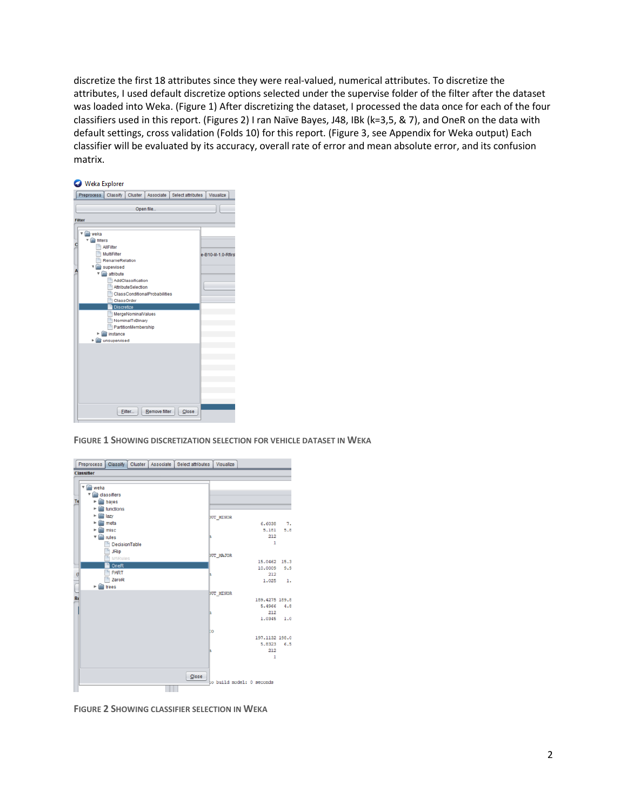discretize the first 18 attributes since they were real-valued, numerical attributes. To discretize the attributes, I used default discretize options selected under the supervise folder of the filter after the dataset was loaded into Weka. (Figure 1) After discretizing the dataset, I processed the data once for each of the four classifiers used in this report. (Figures 2) I ran Naïve Bayes, J48, IBk (k=3,5, & 7), and OneR on the data with default settings, cross validation (Folds 10) for this report. (Figure 3, see Appendix for Weka output) Each classifier will be evaluated by its accuracy, overall rate of error and mean absolute error, and its confusion matrix.



**FIGURE 1 SHOWING DISCRETIZATION SELECTION FOR VEHICLE DATASET IN WEKA**



**FIGURE 2 SHOWING CLASSIFIER SELECTION IN WEKA**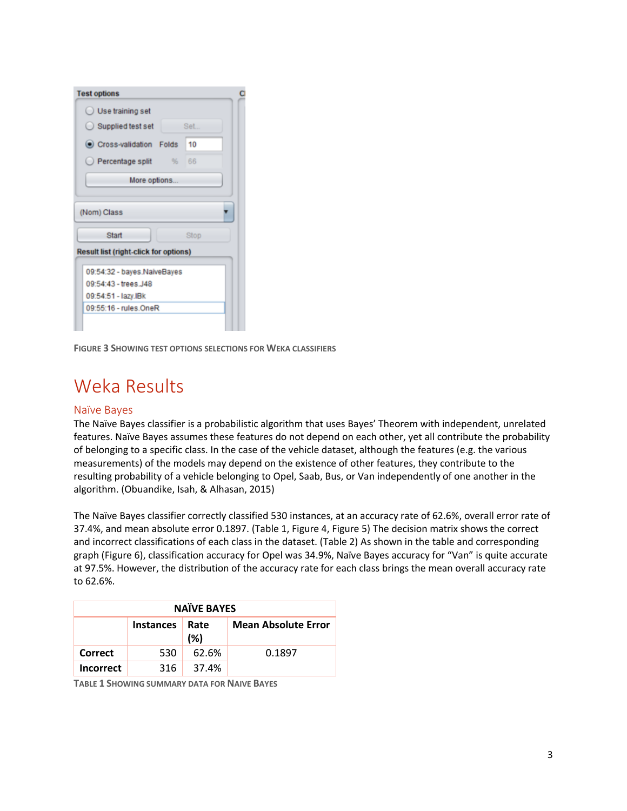| <b>Test options</b>                          |  |
|----------------------------------------------|--|
| $\bigcirc$ Use training set                  |  |
| $\bigcirc$ Supplied test set<br>Set          |  |
| Cross-validation Folds<br>10                 |  |
| $\bigcirc$ Percentage split<br>%<br>66       |  |
| More options                                 |  |
| (Nom) Class                                  |  |
| Start<br>Stop                                |  |
| <b>Result list (right-click for options)</b> |  |
| 09:54:32 - bayes.NaiveBayes                  |  |
| 09:54:43 - trees J48                         |  |
| 09:54:51 - lazy.IBk                          |  |
| 09:55:16 - rules OneR                        |  |
|                                              |  |

**FIGURE 3 SHOWING TEST OPTIONS SELECTIONS FOR WEKA CLASSIFIERS**

# Weka Results

### Naïve Bayes

The Naïve Bayes classifier is a probabilistic algorithm that uses Bayes' Theorem with independent, unrelated features. Naïve Bayes assumes these features do not depend on each other, yet all contribute the probability of belonging to a specific class. In the case of the vehicle dataset, although the features (e.g. the various measurements) of the models may depend on the existence of other features, they contribute to the resulting probability of a vehicle belonging to Opel, Saab, Bus, or Van independently of one another in the algorithm. (Obuandike, Isah, & Alhasan, 2015)

The Naïve Bayes classifier correctly classified 530 instances, at an accuracy rate of 62.6%, overall error rate of 37.4%, and mean absolute error 0.1897. (Table 1, Figure 4, Figure 5) The decision matrix shows the correct and incorrect classifications of each class in the dataset. (Table 2) As shown in the table and corresponding graph (Figure 6), classification accuracy for Opel was 34.9%, Naïve Bayes accuracy for "Van" is quite accurate at 97.5%. However, the distribution of the accuracy rate for each class brings the mean overall accuracy rate to 62.6%.

| <b>NAÏVE BAYES</b> |                            |       |        |  |  |  |  |  |  |
|--------------------|----------------------------|-------|--------|--|--|--|--|--|--|
|                    | <b>Mean Absolute Error</b> |       |        |  |  |  |  |  |  |
| Correct            | 530                        | 62.6% | 0.1897 |  |  |  |  |  |  |
| <b>Incorrect</b>   | 316                        | 37.4% |        |  |  |  |  |  |  |

**TABLE 1 SHOWING SUMMARY DATA FOR NAIVE BAYES**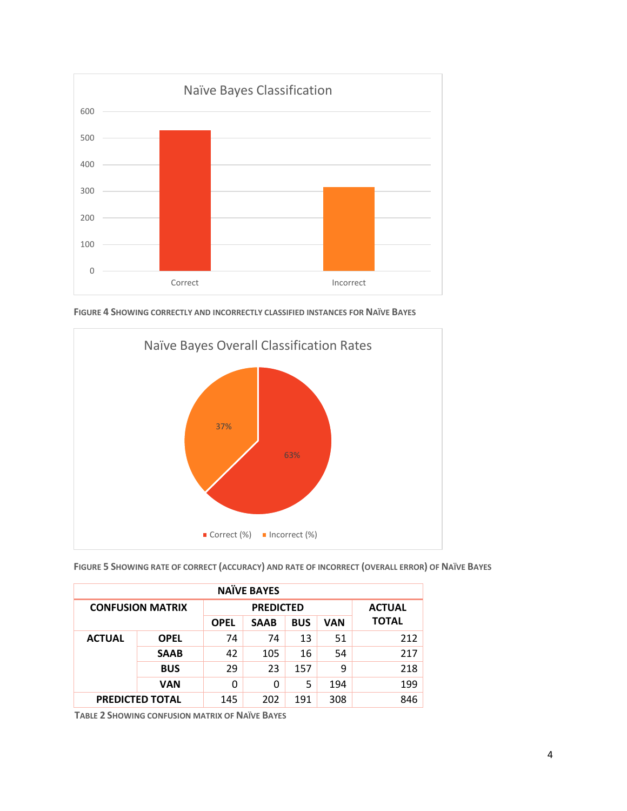

**FIGURE 4 SHOWING CORRECTLY AND INCORRECTLY CLASSIFIED INSTANCES FOR NAÏVE BAYES**



| FIGURE 5 SHOWING RATE OF CORRECT (ACCURACY) AND RATE OF INCORRECT (OVERALL ERROR) OF NAÏVE BAYES |  |  |
|--------------------------------------------------------------------------------------------------|--|--|
|--------------------------------------------------------------------------------------------------|--|--|

| <b>NAÏVE BAYES</b>      |             |             |                  |               |     |              |  |  |
|-------------------------|-------------|-------------|------------------|---------------|-----|--------------|--|--|
| <b>CONFUSION MATRIX</b> |             |             | <b>PREDICTED</b> | <b>ACTUAL</b> |     |              |  |  |
|                         |             | <b>OPEL</b> | <b>SAAB</b>      | <b>BUS</b>    | VAN | <b>TOTAL</b> |  |  |
| <b>ACTUAL</b>           | <b>OPEL</b> | 74          | 74               | 13            | 51  | 212          |  |  |
|                         | <b>SAAB</b> | 42          | 105              | 16            | 54  | 217          |  |  |
|                         | <b>BUS</b>  | 29          | 23               | 157           | 9   | 218          |  |  |
|                         | VAN         | 0           | 0                | 5             | 194 | 199          |  |  |
| <b>PREDICTED TOTAL</b>  |             | 145         | 202              | 191           | 308 | 846          |  |  |

**TABLE 2 SHOWING CONFUSION MATRIX OF NAÏVE BAYES**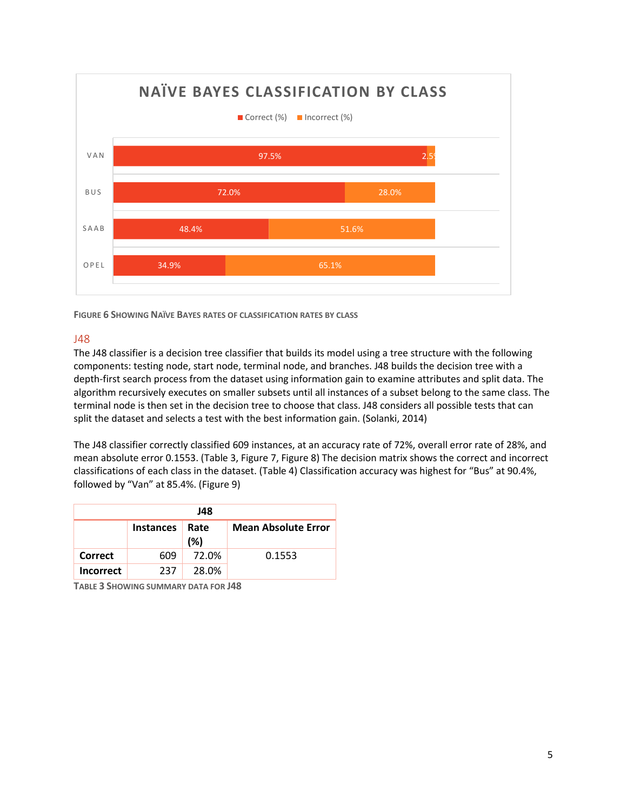

**FIGURE 6 SHOWING NAÏVE BAYES RATES OF CLASSIFICATION RATES BY CLASS**

### J48

The J48 classifier is a decision tree classifier that builds its model using a tree structure with the following components: testing node, start node, terminal node, and branches. J48 builds the decision tree with a depth-first search process from the dataset using information gain to examine attributes and split data. The algorithm recursively executes on smaller subsets until all instances of a subset belong to the same class. The terminal node is then set in the decision tree to choose that class. J48 considers all possible tests that can split the dataset and selects a test with the best information gain. (Solanki, 2014)

The J48 classifier correctly classified 609 instances, at an accuracy rate of 72%, overall error rate of 28%, and mean absolute error 0.1553. (Table 3, Figure 7, Figure 8) The decision matrix shows the correct and incorrect classifications of each class in the dataset. (Table 4) Classification accuracy was highest for "Bus" at 90.4%, followed by "Van" at 85.4%. (Figure 9)

| J48              |                  |                            |        |  |  |  |  |  |  |
|------------------|------------------|----------------------------|--------|--|--|--|--|--|--|
|                  | <b>Instances</b> | <b>Mean Absolute Error</b> |        |  |  |  |  |  |  |
| Correct          | 609              | 72.0%                      | 0.1553 |  |  |  |  |  |  |
| <b>Incorrect</b> | 237              | 28.0%                      |        |  |  |  |  |  |  |

**TABLE 3 SHOWING SUMMARY DATA FOR J48**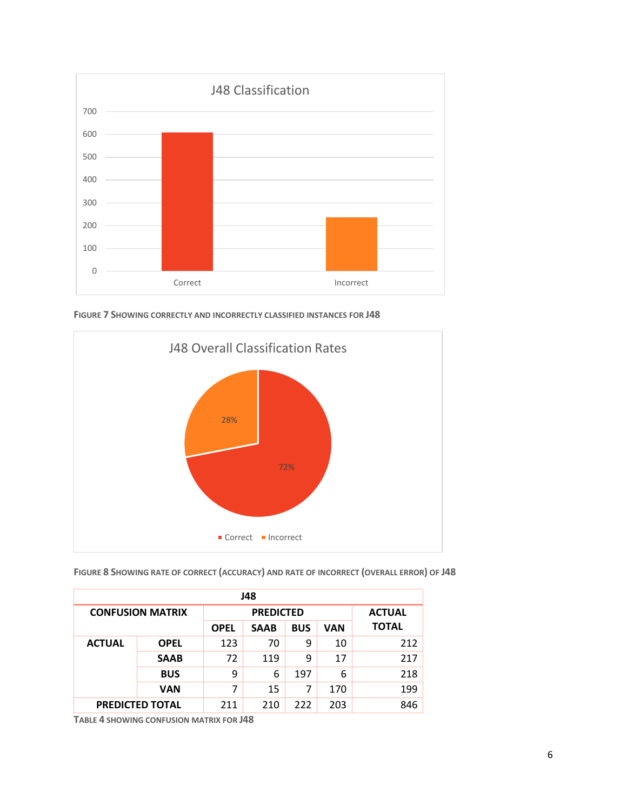

**FIGURE 7 SHOWING CORRECTLY AND INCORRECTLY CLASSIFIED INSTANCES FOR J48**



## **FIGURE 8 SHOWING RATE OF CORRECT (ACCURACY) AND RATE OF INCORRECT (OVERALL ERROR) OF J48**

| J48                     |             |                  |            |     |               |     |  |  |
|-------------------------|-------------|------------------|------------|-----|---------------|-----|--|--|
| <b>CONFUSION MATRIX</b> |             | <b>PREDICTED</b> |            |     | <b>ACTUAL</b> |     |  |  |
|                         | <b>OPEL</b> | <b>SAAB</b>      | <b>BUS</b> | VAN | <b>TOTAL</b>  |     |  |  |
| <b>ACTUAL</b>           | <b>OPEL</b> | 123              | 70         | 9   | 10            | 212 |  |  |
|                         | <b>SAAB</b> | 72               | 119        | 9   | 17            | 217 |  |  |
|                         | <b>BUS</b>  | 9                | 6          | 197 | 6             | 218 |  |  |
|                         | <b>VAN</b>  | 7                | 15         | 7   | 170           | 199 |  |  |
| <b>PREDICTED TOTAL</b>  |             | 211              | 210        | 222 | 203           | 846 |  |  |

**TABLE 4 SHOWING CONFUSION MATRIX FOR J48**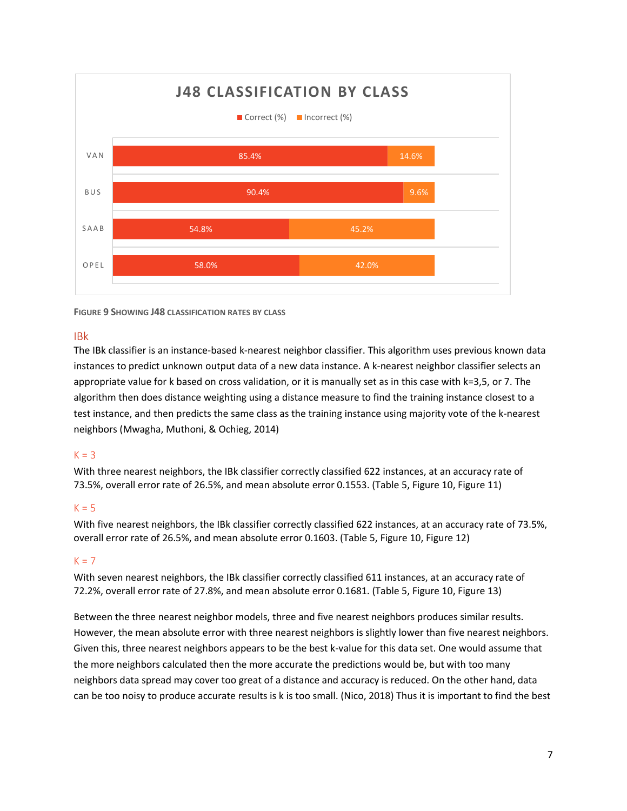

**FIGURE 9 SHOWING J48 CLASSIFICATION RATES BY CLASS**

### IBk

The IBk classifier is an instance-based k-nearest neighbor classifier. This algorithm uses previous known data instances to predict unknown output data of a new data instance. A k-nearest neighbor classifier selects an appropriate value for k based on cross validation, or it is manually set as in this case with k=3,5, or 7. The algorithm then does distance weighting using a distance measure to find the training instance closest to a test instance, and then predicts the same class as the training instance using majority vote of the k-nearest neighbors (Mwagha, Muthoni, & Ochieg, 2014)

### $K = 3$

With three nearest neighbors, the IBk classifier correctly classified 622 instances, at an accuracy rate of 73.5%, overall error rate of 26.5%, and mean absolute error 0.1553. (Table 5, Figure 10, Figure 11)

### $K = 5$

With five nearest neighbors, the IBk classifier correctly classified 622 instances, at an accuracy rate of 73.5%, overall error rate of 26.5%, and mean absolute error 0.1603. (Table 5, Figure 10, Figure 12)

### $K = 7$

With seven nearest neighbors, the IBk classifier correctly classified 611 instances, at an accuracy rate of 72.2%, overall error rate of 27.8%, and mean absolute error 0.1681. (Table 5, Figure 10, Figure 13)

Between the three nearest neighbor models, three and five nearest neighbors produces similar results. However, the mean absolute error with three nearest neighbors is slightly lower than five nearest neighbors. Given this, three nearest neighbors appears to be the best k-value for this data set. One would assume that the more neighbors calculated then the more accurate the predictions would be, but with too many neighbors data spread may cover too great of a distance and accuracy is reduced. On the other hand, data can be too noisy to produce accurate results is k is too small. (Nico, 2018) Thus it is important to find the best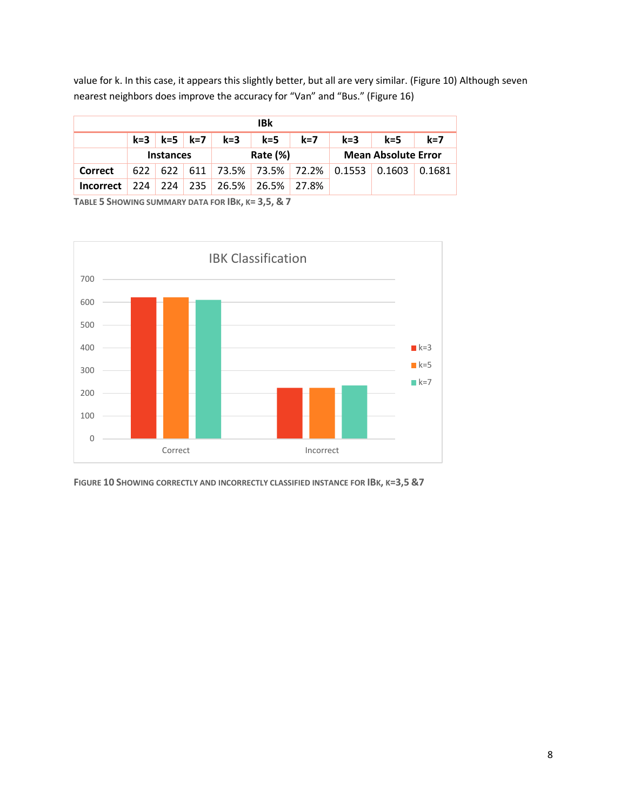value for k. In this case, it appears this slightly better, but all are very similar. (Figure 10) Although seven nearest neighbors does improve the accuracy for "Van" and "Bus." (Figure 16)

| IBk              |                  |     |  |                         |             |       |                                               |                            |        |
|------------------|------------------|-----|--|-------------------------|-------------|-------|-----------------------------------------------|----------------------------|--------|
|                  |                  |     |  | $k=3$ $k=5$ $k=7$ $k=3$ | k=5         | $k=7$ | $k=3$                                         | $k = 5$                    | $k=7$  |
|                  | <b>Instances</b> |     |  | Rate (%)                |             |       |                                               | <b>Mean Absolute Error</b> |        |
| Correct          |                  |     |  |                         |             |       | $622$ 622 611 73.5% 73.5% 72.2% 0.1553 0.1603 |                            | 0.1681 |
| <b>Incorrect</b> | 224              | 224 |  | 235 26.5%               | 26.5% 27.8% |       |                                               |                            |        |
|                  |                  |     |  |                         |             |       |                                               |                            |        |

**TABLE 5 SHOWING SUMMARY DATA FOR IBK, K= 3,5, & 7**



**FIGURE 10 SHOWING CORRECTLY AND INCORRECTLY CLASSIFIED INSTANCE FOR IBK, K=3,5 &7**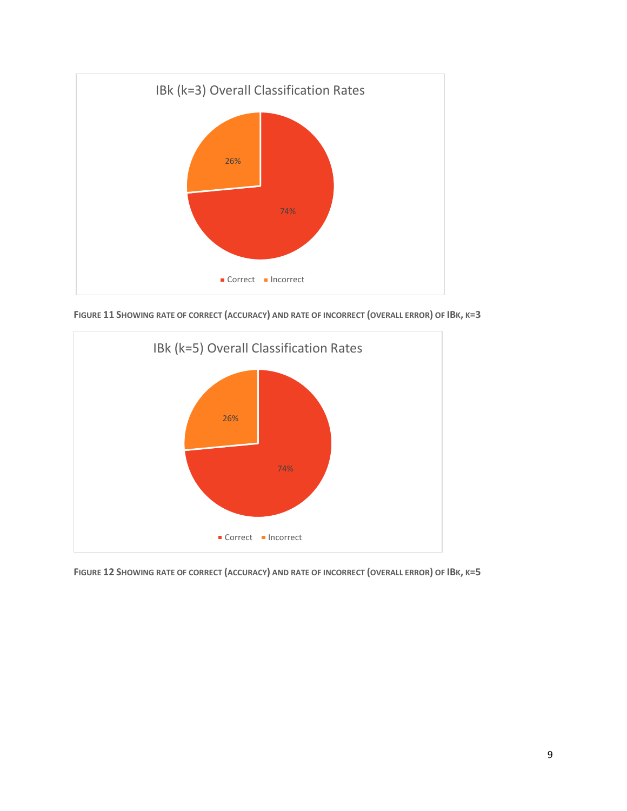

**FIGURE 11 SHOWING RATE OF CORRECT (ACCURACY) AND RATE OF INCORRECT (OVERALL ERROR) OF IBK, K=3**



**FIGURE 12 SHOWING RATE OF CORRECT (ACCURACY) AND RATE OF INCORRECT (OVERALL ERROR) OF IBK, K=5**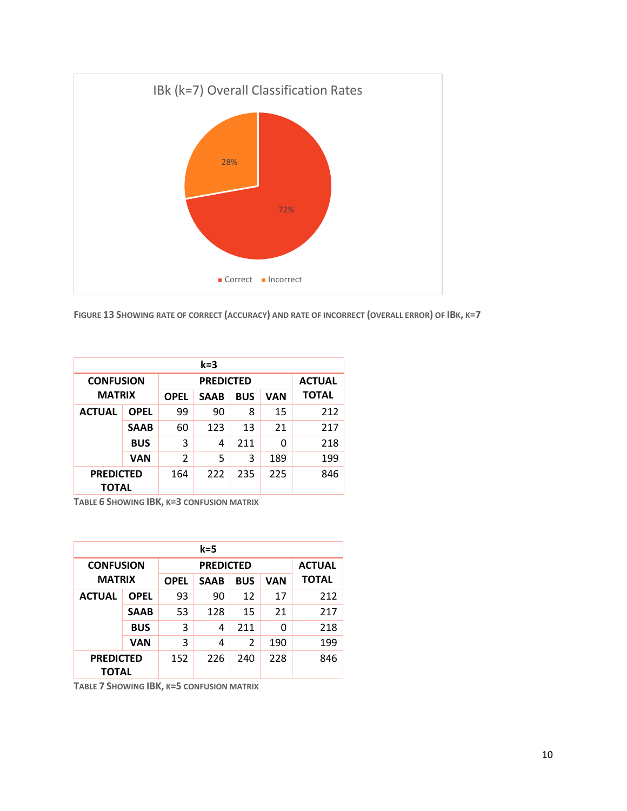

**FIGURE 13 SHOWING RATE OF CORRECT (ACCURACY) AND RATE OF INCORRECT (OVERALL ERROR) OF IBK, K=7**

| k=3                       |             |             |               |            |     |              |  |  |
|---------------------------|-------------|-------------|---------------|------------|-----|--------------|--|--|
| <b>CONFUSION</b>          |             |             | <b>ACTUAL</b> |            |     |              |  |  |
| <b>MATRIX</b>             |             | <b>OPEL</b> | <b>SAAB</b>   | <b>BUS</b> | VAN | <b>TOTAL</b> |  |  |
| <b>ACTUAL</b>             | <b>OPEL</b> | 99          | 90            | 8          | 15  | 212          |  |  |
|                           | <b>SAAB</b> | 60          | 123           | 13         | 21  | 217          |  |  |
|                           | <b>BUS</b>  | 3           | 4             | 211        | 0   | 218          |  |  |
|                           | VAN         | 2           | 5             | 3          | 189 | 199          |  |  |
| <b>PREDICTED</b><br>ΤΟΤΑL |             | 164         | 222           | 235        | 225 | 846          |  |  |

**TABLE 6 SHOWING IBK, K=3 CONFUSION MATRIX**

| k=5                              |               |     |               |               |     |              |  |  |  |
|----------------------------------|---------------|-----|---------------|---------------|-----|--------------|--|--|--|
| <b>CONFUSION</b>                 |               |     | <b>ACTUAL</b> |               |     |              |  |  |  |
|                                  | <b>MATRIX</b> |     | <b>SAAB</b>   | <b>BUS</b>    | VAN | <b>TOTAL</b> |  |  |  |
| <b>ACTUAL</b>                    | <b>OPEL</b>   | 93  | 90            | 12            | 17  | 212          |  |  |  |
|                                  | <b>SAAB</b>   | 53  | 128           | 15            | 21  | 217          |  |  |  |
|                                  | <b>BUS</b>    | 3   | 4             | 211           | 0   | 218          |  |  |  |
|                                  | VAN           | 3   | 4             | $\mathcal{P}$ | 190 | 199          |  |  |  |
| <b>PREDICTED</b><br><b>TOTAL</b> |               | 152 | 226           | 240           | 228 | 846          |  |  |  |

**TABLE 7 SHOWING IBK, K=5 CONFUSION MATRIX**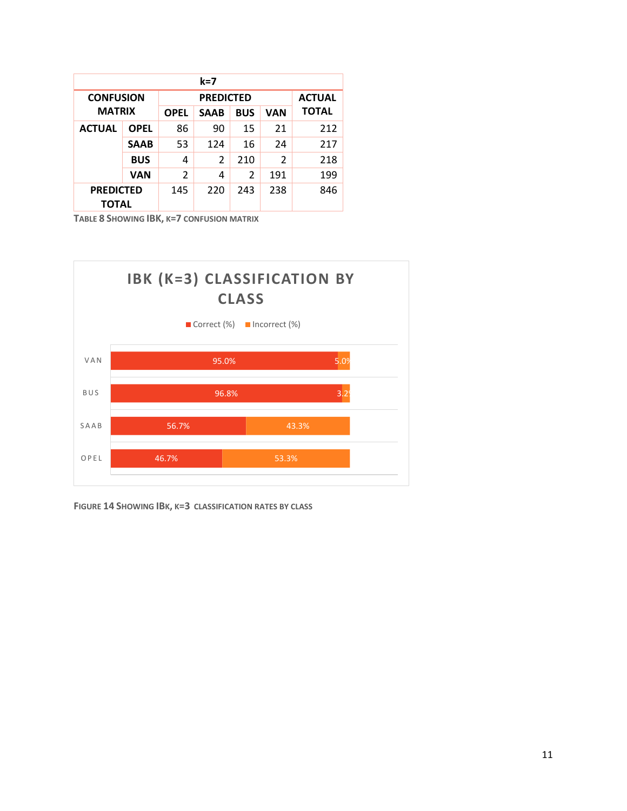| $k=7$                            |             |                |                  |            |                |               |  |  |
|----------------------------------|-------------|----------------|------------------|------------|----------------|---------------|--|--|
| <b>CONFUSION</b>                 |             |                | <b>PREDICTED</b> |            |                | <b>ACTUAL</b> |  |  |
| <b>MATRIX</b>                    |             | <b>OPEL</b>    | <b>SAAB</b>      | <b>BUS</b> | VAN            | <b>TOTAL</b>  |  |  |
| <b>ACTUAL</b>                    | <b>OPEL</b> | 86             | 90               | 15         | 21             | 212           |  |  |
|                                  | <b>SAAB</b> | 53             | 124              | 16         | 24             | 217           |  |  |
|                                  | <b>BUS</b>  | 4              | 2                | 210        | $\overline{2}$ | 218           |  |  |
|                                  | VAN         | $\overline{2}$ | 4                | 2          | 191            | 199           |  |  |
| <b>PREDICTED</b><br><b>TOTAL</b> |             | 145            | 220              | 243        | 238            | 846           |  |  |

**TABLE 8 SHOWING IBK, K=7 CONFUSION MATRIX**



**FIGURE 14 SHOWING IBK, K=3 CLASSIFICATION RATES BY CLASS**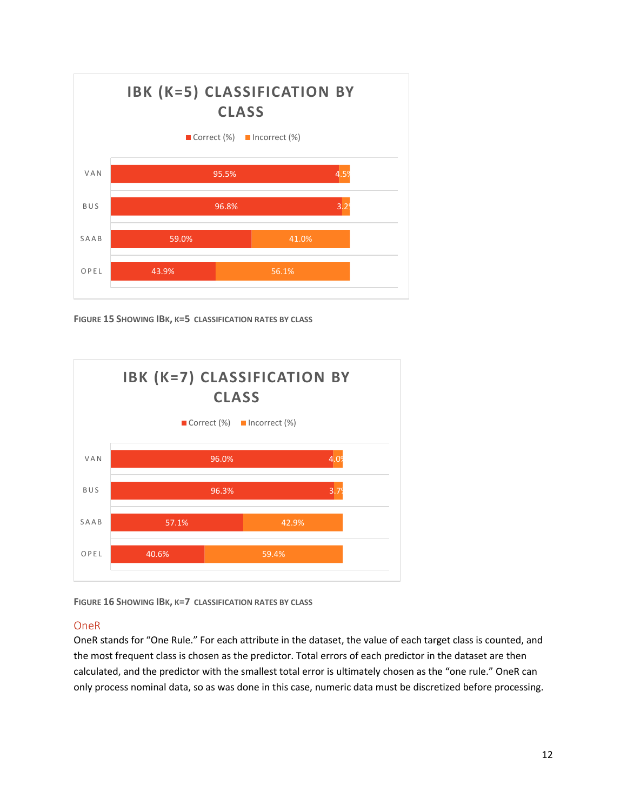

**FIGURE 15 SHOWING IBK, K=5 CLASSIFICATION RATES BY CLASS**



**FIGURE 16 SHOWING IBK, K=7 CLASSIFICATION RATES BY CLASS**

### OneR

OneR stands for "One Rule." For each attribute in the dataset, the value of each target class is counted, and the most frequent class is chosen as the predictor. Total errors of each predictor in the dataset are then calculated, and the predictor with the smallest total error is ultimately chosen as the "one rule." OneR can only process nominal data, so as was done in this case, numeric data must be discretized before processing.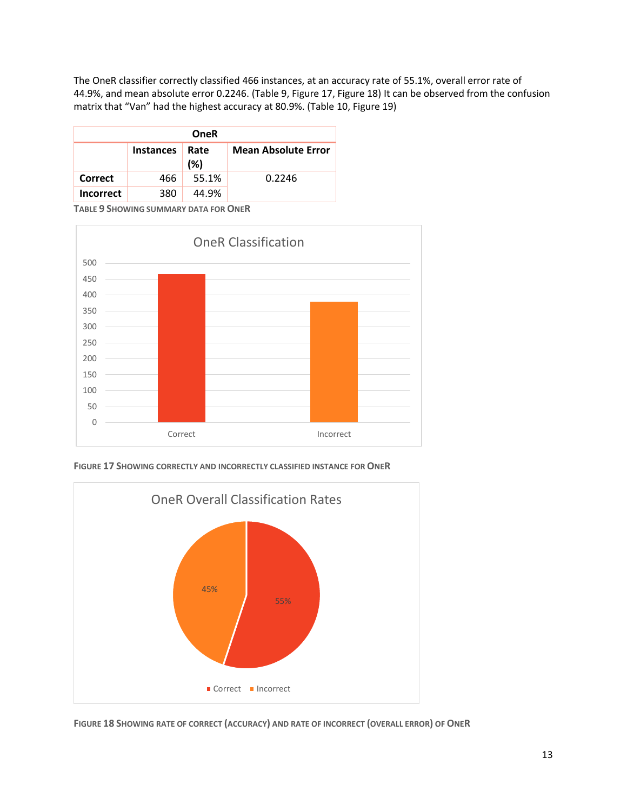The OneR classifier correctly classified 466 instances, at an accuracy rate of 55.1%, overall error rate of 44.9%, and mean absolute error 0.2246. (Table 9, Figure 17, Figure 18) It can be observed from the confusion matrix that "Van" had the highest accuracy at 80.9%. (Table 10, Figure 19)

| <b>OneR</b>      |                  |                            |        |  |  |  |  |  |  |
|------------------|------------------|----------------------------|--------|--|--|--|--|--|--|
|                  | <b>Instances</b> | <b>Mean Absolute Error</b> |        |  |  |  |  |  |  |
| Correct          | 466              | 55.1%                      | 0.2246 |  |  |  |  |  |  |
| <b>Incorrect</b> | 380              | 44.9%                      |        |  |  |  |  |  |  |

**TABLE 9 SHOWING SUMMARY DATA FOR ONER**



**FIGURE 17 SHOWING CORRECTLY AND INCORRECTLY CLASSIFIED INSTANCE FOR ONER**



**FIGURE 18 SHOWING RATE OF CORRECT (ACCURACY) AND RATE OF INCORRECT (OVERALL ERROR) OF ONER**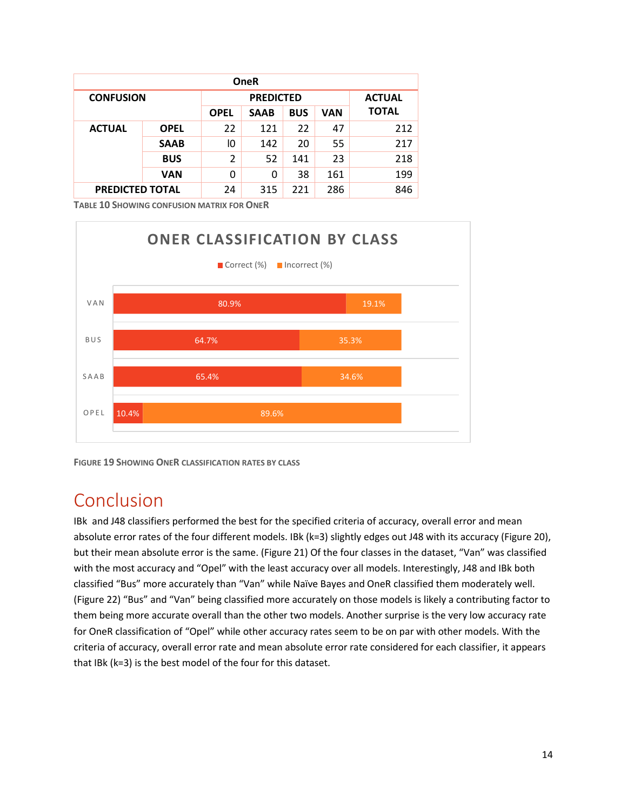| <b>OneR</b>            |             |                |            |     |              |     |  |  |
|------------------------|-------------|----------------|------------|-----|--------------|-----|--|--|
| <b>CONFUSION</b>       |             | <b>ACTUAL</b>  |            |     |              |     |  |  |
|                        | <b>OPEL</b> | <b>SAAB</b>    | <b>BUS</b> | VAN | <b>TOTAL</b> |     |  |  |
| <b>ACTUAL</b>          | <b>OPEL</b> | 22             | 121        | 22  | 47           | 212 |  |  |
|                        | <b>SAAB</b> | 10             | 142        | 20  | 55           | 217 |  |  |
|                        | <b>BUS</b>  | $\overline{2}$ | 52         | 141 | 23           | 218 |  |  |
|                        | <b>VAN</b>  | 0              | 0          | 38  | 161          | 199 |  |  |
| <b>PREDICTED TOTAL</b> |             | 24             | 315        | 221 | 286          | 846 |  |  |

**TABLE 10 SHOWING CONFUSION MATRIX FOR ONER**



**FIGURE 19 SHOWING ONER CLASSIFICATION RATES BY CLASS**

## Conclusion

IBk and J48 classifiers performed the best for the specified criteria of accuracy, overall error and mean absolute error rates of the four different models. IBk (k=3) slightly edges out J48 with its accuracy (Figure 20), but their mean absolute error is the same. (Figure 21) Of the four classes in the dataset, "Van" was classified with the most accuracy and "Opel" with the least accuracy over all models. Interestingly, J48 and IBk both classified "Bus" more accurately than "Van" while Naïve Bayes and OneR classified them moderately well. (Figure 22) "Bus" and "Van" being classified more accurately on those models is likely a contributing factor to them being more accurate overall than the other two models. Another surprise is the very low accuracy rate for OneR classification of "Opel" while other accuracy rates seem to be on par with other models. With the criteria of accuracy, overall error rate and mean absolute error rate considered for each classifier, it appears that IBk (k=3) is the best model of the four for this dataset.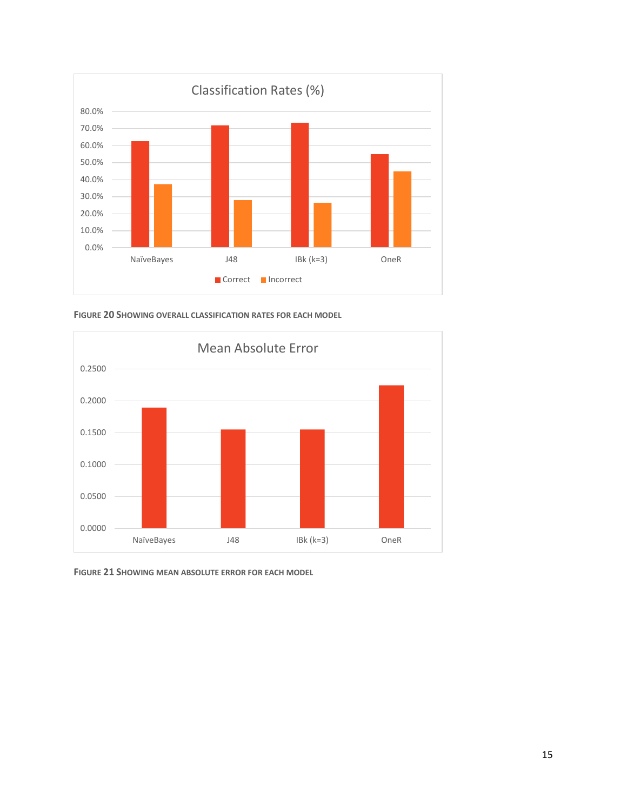

**FIGURE 20 SHOWING OVERALL CLASSIFICATION RATES FOR EACH MODEL**



**FIGURE 21 SHOWING MEAN ABSOLUTE ERROR FOR EACH MODEL**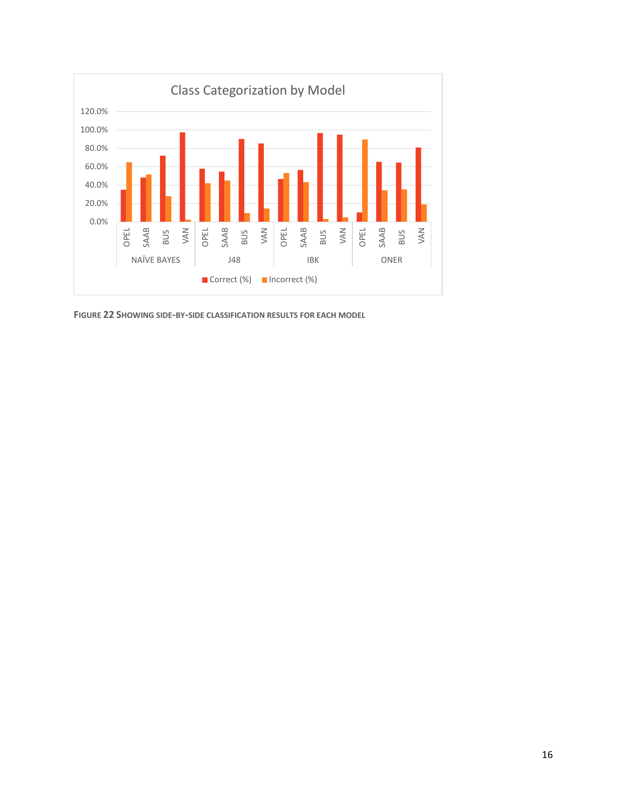

**FIGURE 22 SHOWING SIDE-BY-SIDE CLASSIFICATION RESULTS FOR EACH MODEL**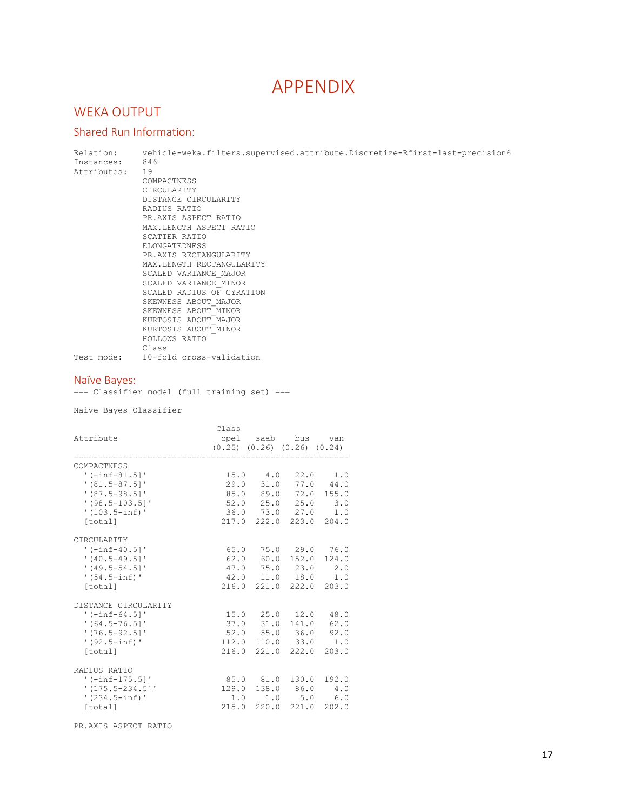# APPENDIX

## WEKA OUTPUT

## Shared Run Information:

| Relation:<br>Instances:<br>Attributes:                                                                               | 846<br>19<br>COMPACTNESS<br>CIRCULARITY<br>DISTANCE CIRCULARITY<br>RADIUS RATIO<br>PR.AXIS ASPECT RATIO<br>MAX.LENGTH ASPECT RATIO<br>SCATTER RATIO<br>ELONGATEDNESS<br>PR.AXIS RECTANGULARITY<br>MAX.LENGTH RECTANGULARITY<br>SCALED VARIANCE MAJOR<br>SCALED VARIANCE MINOR<br>SCALED RADIUS OF GYRATION<br>SKEWNESS ABOUT MAJOR<br>SKEWNESS ABOUT MINOR<br>KURTOSIS ABOUT MAJOR<br>KURTOSIS ABOUT MINOR<br>HOLLOWS RATIO |                                              |                                        |                                                                                                                                                 |                                      | vehicle-weka.filters.supervised.attribute.Discretize-Rfirst-last-precision6 |
|----------------------------------------------------------------------------------------------------------------------|-----------------------------------------------------------------------------------------------------------------------------------------------------------------------------------------------------------------------------------------------------------------------------------------------------------------------------------------------------------------------------------------------------------------------------|----------------------------------------------|----------------------------------------|-------------------------------------------------------------------------------------------------------------------------------------------------|--------------------------------------|-----------------------------------------------------------------------------|
|                                                                                                                      | Class<br>Test mode: 10-fold cross-validation                                                                                                                                                                                                                                                                                                                                                                                |                                              |                                        |                                                                                                                                                 |                                      |                                                                             |
| Naïve Bayes:                                                                                                         | === Classifier model (full training set) ===                                                                                                                                                                                                                                                                                                                                                                                |                                              |                                        |                                                                                                                                                 |                                      |                                                                             |
| Naive Bayes Classifier                                                                                               |                                                                                                                                                                                                                                                                                                                                                                                                                             |                                              |                                        |                                                                                                                                                 |                                      |                                                                             |
| Attribute                                                                                                            |                                                                                                                                                                                                                                                                                                                                                                                                                             | Class<br>$(0.25)$ $(0.26)$ $(0.26)$ $(0.24)$ |                                        | opel saab bus van                                                                                                                               |                                      |                                                                             |
| COMPACTNESS<br>'(-inf-81.5]'<br>$'$ (81.5-87.5)'<br>'(87.5-98.5]'<br>$!(98.5-103.5)]$<br>'(103.5-inf)'<br>[total]    |                                                                                                                                                                                                                                                                                                                                                                                                                             |                                              |                                        | 15.0 4.0 22.0 1.0<br>29.0 31.0 77.0 44.0<br>85.0 89.0 72.0 155.0<br>$52.0$ $25.0$ $25.0$ $3.0$<br>36.0 73.0 27.0 1.0<br>217.0 222.0 223.0 204.0 |                                      |                                                                             |
| CIRCULARITY<br>'(-inf-40.5]'<br>$!(40.5-49.5)]$<br>$(49.5 - 54.5)$ '<br>'(54.5-inf)'<br>[total]                      |                                                                                                                                                                                                                                                                                                                                                                                                                             |                                              |                                        | 65.0 75.0 29.0 76.0<br>62.0 60.0 152.0 124.0<br>47.0 75.0 23.0 2.0<br>42.0 11.0 18.0 1.0<br>216.0 221.0 222.0 203.0                             |                                      |                                                                             |
| DISTANCE CIRCULARITY<br>$'$ (-inf-64.5] $'$<br>$'$ (64.5-76.5] $'$<br>$'$ (76.5-92.51'<br>$'(92.5 - inf)$<br>[total] |                                                                                                                                                                                                                                                                                                                                                                                                                             | 15.0<br>37.0<br>52.0<br>112.0<br>216.0       | 25.0<br>31.0<br>55.0<br>110.0<br>221.0 | 12.0<br>141.0<br>36.0<br>33.0<br>222.0                                                                                                          | 48.0<br>62.0<br>92.0<br>1.0<br>203.0 |                                                                             |
| RADIUS RATIO<br>$' (-inf-175.5)'$<br>$'$ (175.5-234.5]'<br>$'(234.5\text{-inf})$<br>[total]                          |                                                                                                                                                                                                                                                                                                                                                                                                                             | 85.0<br>129.0<br>1.0<br>215.0                | 81.0<br>138.0<br>1.0<br>220.0          | 130.0<br>86.0<br>5.0<br>221.0                                                                                                                   | 192.0<br>4.0<br>6.0<br>202.0         |                                                                             |

PR.AXIS ASPECT RATIO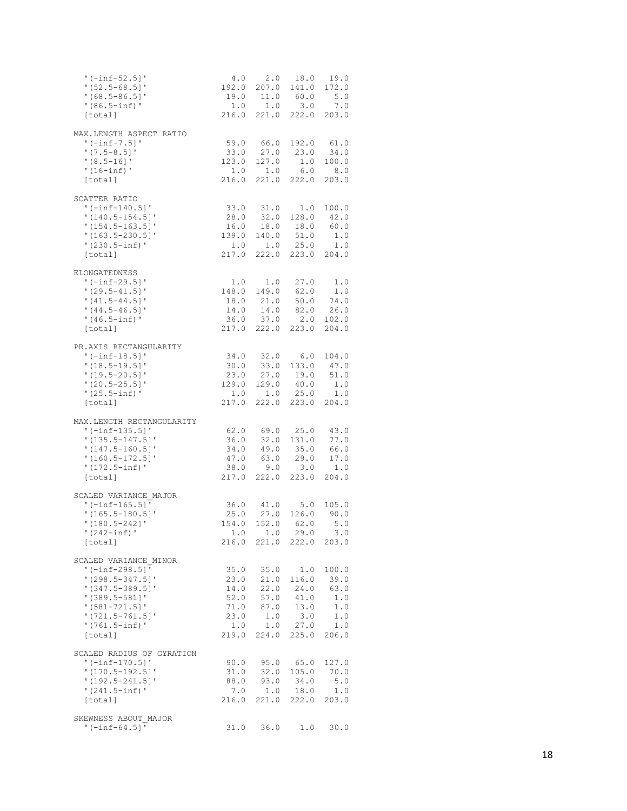| $' (-inf-52.5)'$<br>$!(52.5-68.5)$<br>$!(68.5-86.5)]$<br>$'(86.5 - inf)$ '<br>[total]                                                                                                | 4.0 2.0 18.0 19.0                                                                                                                                | 192.0 207.0 141.0 172.0<br>19.0 11.0 60.0 5.0<br>$1.0$ $1.0$ $3.0$ $7.0$<br>216.0 221.0 222.0 203.0                                                                                                                                                                                 |                                                              |                                                       |
|--------------------------------------------------------------------------------------------------------------------------------------------------------------------------------------|--------------------------------------------------------------------------------------------------------------------------------------------------|-------------------------------------------------------------------------------------------------------------------------------------------------------------------------------------------------------------------------------------------------------------------------------------|--------------------------------------------------------------|-------------------------------------------------------|
| MAX.LENGTH ASPECT RATIO<br>$' (-inf-7.5)'$<br>$'$ (7.5-8.5) $'$<br>$!(8.5-16]'$<br>$!(16 - inf)$ '<br>[total]                                                                        |                                                                                                                                                  | 59.0 66.0 192.0 61.0<br>$\begin{array}{cccc} 33.0 & 27.0 & 23.0 & 34.0 \\ 123.0 & 127.0 & 1.0 & 100.0 \end{array}$<br>$\begin{array}{cccc} 1.0 & 1.0 & 6.0 & 8.0 \\ 216.0 & 221.0 & 222.0 & 203.0 \end{array}$                                                                      |                                                              |                                                       |
| SCATTER RATIO<br>$'(-inf-140.5)'$<br>$'$ (140.5-154.5]'<br>$'$ (154.5-163.5] $'$<br>$'$ (163.5-230.5] $'$<br>$'(230.5\text{-inf})$ '<br>[total]                                      | $\begin{array}{cccc} 33.0 & 31.0 & 1.0 & 100.0 \\ 28.0 & 32.0 & 128.0 & 42.0 \end{array}$                                                        | $\begin{array}{cccc} 16.0 & 18.0 & 18.0 & 60.0 \\ 139.0 & 140.0 & 51.0 & 1.0 \end{array}$<br>$\begin{array}{cccc} 1.0 & 1.0 & 25.0 & 1.0 \\ 217.0 & 222.0 & 223.0 & 204.0 \end{array}$                                                                                              |                                                              |                                                       |
| <b>ELONGATEDNESS</b><br>$!(-inf-29.5)!$<br>$'$ (29.5-41.5] $'$<br>$'$ (41.5-44.5] $'$<br>$(44.5 - 46.5)$<br>$'(46.5\text{-inf})$ '<br>[total]                                        | $\begin{array}{cccc} 1.0 & 1.0 & 27.0 & 1.0 \\ 148.0 & 149.0 & 62.0 & 1.0 \\ 18.0 & 21.0 & 50.0 & 74.0 \\ 14.0 & 14.0 & 82.0 & 26.0 \end{array}$ | $\begin{array}{cccc} 36.0 & 37.0 & 2.0 & 102.0 \\ 217.0 & 222.0 & 223.0 & 204.0 \end{array}$                                                                                                                                                                                        |                                                              |                                                       |
| PR.AXIS RECTANGULARITY<br>$' (-inf-18.5)'$<br>$'$ (18.5-19.5]'<br>$'$ (19.5-20.5] $'$<br>$!(20.5-25.5)!$<br>$'(25.5 - inf)$ '<br>[total]                                             |                                                                                                                                                  | $\begin{array}{cccc} 34.0 & 32.0 & 6.0 & 104.0 \\ 30.0 & 33.0 & 133.0 & 47.0 \end{array}$<br>$\begin{array}{cccc} 23.0 & 27.0 & 19.0 & 51.0 \\ 129.0 & 129.0 & 40.0 & 1.0 \end{array}$<br>$\begin{array}{cccc} 1.0 & 1.0 & 25.0 & 1.0 \\ 217.0 & 222.0 & 223.0 & 204.0 \end{array}$ |                                                              |                                                       |
| MAX.LENGTH RECTANGULARITY<br>'(-inf-135.5]'<br>$'$ (135.5-147.5] $'$<br>$(147.5 - 160.5)$<br>$!(160.5-172.5)!$<br>$'(172.5 - inf)$ '<br>[total]                                      | 47.0                                                                                                                                             | $\begin{array}{cccc} 62.0 & 69.0 & 25.0 & 43.0 \\ 36.0 & 32.0 & 131.0 & 77.0 \\ 34.0 & 49.0 & 35.0 & 66.0 \\ 47.0 & 63.0 & 29.0 & 17.0 \end{array}$<br>$38.0$ $9.0$ $3.0$ $1.0$<br>217.0 222.0 223.0 204.0                                                                          |                                                              |                                                       |
| SCALED VARIANCE MAJOR<br>'(-inf-165.5]'<br>$'$ (165.5-180.5]'<br>$(180.5 - 242)$<br>$'$ (242-inf) $'$<br>[total]                                                                     |                                                                                                                                                  | 36.0 41.0 5.0 105.0<br>25.0 27.0 126.0 90.0<br>154.0 152.0 62.0 5.0<br>1.0 1.0<br>216.0 221.0 222.0 203.0                                                                                                                                                                           | 29.0                                                         | 3.0                                                   |
| SCALED VARIANCE MINOR<br>$'$ (-inf-298.5] $'$<br>$'$ (298.5-347.5]'<br>$'$ (347.5-389.5]'<br>$'$ (389.5-581]'<br>$!(581-721.5)$<br>$'$ (721.5-761.5]'<br>$'(761.5 - inf)$<br>[total] | 35.0<br>23.0<br>14.0<br>71.0<br>23.0<br>219.0                                                                                                    | 21.0<br>22.0<br>$52.0$ $57.0$ $41.0$<br>$1.0$ $1.0$ $27.0$ $1.0$<br>224.0                                                                                                                                                                                                           | $35.0$ 1.0<br>116.0<br>24.0<br>87.0 13.0<br>1.0 3.0<br>225.0 | 100.0<br>39.0<br>63.0<br>1.0<br>1.0<br>$1.0$<br>206.0 |
| SCALED RADIUS OF GYRATION<br>$'(-inf-170.5)'$<br>$'$ (170.5-192.5]'<br>$'$ (192.5-241.5]'<br>$'(241.5 - inf)$<br>[total]                                                             | 31.0<br>88.0                                                                                                                                     | $90.0$ $95.0$<br>93.0<br>$7.0$ 1.0 18.0 1.0<br>216.0 221.0 222.0 203.0                                                                                                                                                                                                              | 65.0<br>32.0 105.0<br>34.0                                   | 127.0<br>70.0<br>5.0                                  |
| SKEWNESS ABOUT MAJOR<br>$' (-inf-64.5)'$                                                                                                                                             | 31.0                                                                                                                                             | 36.0                                                                                                                                                                                                                                                                                | 1.0                                                          | 30.0                                                  |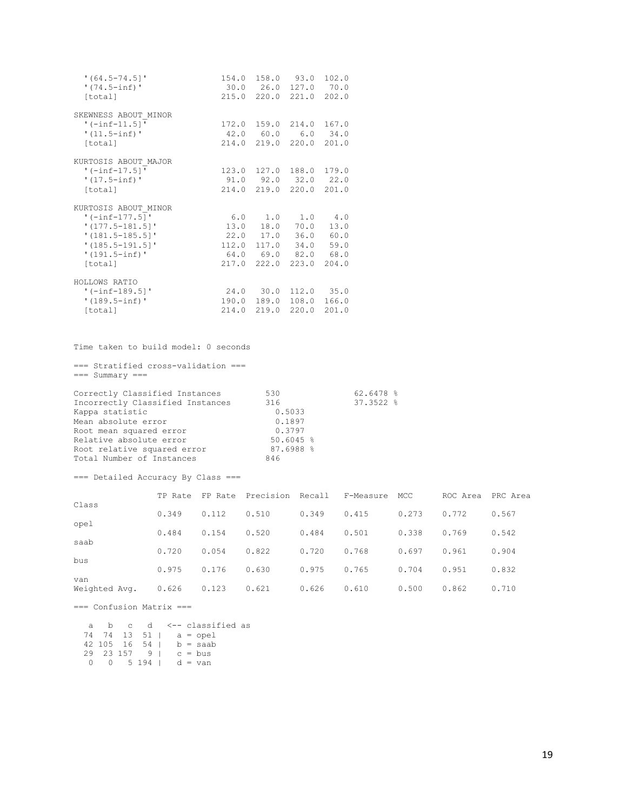| $'$ (64.5-74.5] $'$<br>$'(74.5 - inf)$<br>[total]                                                                                             | 30.0 26.0 127.0 70.0                                                                                  | 154.0 158.0 93.0 102.0<br>215.0 220.0 221.0 202.0  |              |
|-----------------------------------------------------------------------------------------------------------------------------------------------|-------------------------------------------------------------------------------------------------------|----------------------------------------------------|--------------|
| SKEWNESS ABOUT MINOR<br>$'$ (-inf-11.5]'<br>$'(11.5 - inf)$<br>[total]                                                                        | 42.0 60.0 6.0 34.0                                                                                    | 172.0 159.0 214.0 167.0<br>214.0 219.0 220.0 201.0 |              |
| KURTOSIS ABOUT MAJOR<br>$'$ (-inf-17.5]'<br>$'(17.5 - inf)$ '<br>[total]                                                                      | 91.0 92.0 32.0 22.0                                                                                   | 123.0 127.0 188.0 179.0<br>214.0 219.0 220.0 201.0 |              |
| KURTOSIS ABOUT MINOR<br>$' (-inf-177.5)'$<br>$'$ (177.5-181.5]'<br>$'$ (181.5-185.5]'<br>$'$ (185.5-191.5] $'$<br>$'(191.5 - inf)$<br>[total] | $6.0$ 1.0 1.0 4.0<br>13.0 18.0 70.0<br>22.0 17.0 36.0<br>112.0 117.0 34.0 59.0<br>64.0 69.0 82.0 68.0 | 217.0 222.0 223.0 204.0                            | 13.0<br>60.0 |
| HOLLOWS RATIO<br>$'$ (-inf-189.5]'<br>$'(189.5 - inf)$<br>[total]                                                                             | 24.0 30.0 112.0 35.0                                                                                  | 190.0 189.0 108.0 166.0<br>214.0 219.0 220.0 201.0 |              |

Time taken to build model: 0 seconds

=== Stratified cross-validation === === Summary === Correctly Classified Instances 530 62.6478 % Incorrectly Classified Instances 316 37.3522 % Exappa statistic miscalics of the Mappa statistic and the Mappa statistic dependent of  $0.5033$ <br>
Mean absolute error  $0.1897$ <br>
Root mean squared error  $0.3797$ Mean absolute error  $0.1897$ Root mean squared error **120 CM** 0.3797 Relative absolute error 60.6045 % Root relative squared error 87.6988 % Total Number of Instances 846

#### === Detailed Accuracy By Class ===

|               | TP Rate |       | FP Rate Precision Recall |       | F-Measure | MCC   | ROC Area | PRC Area |
|---------------|---------|-------|--------------------------|-------|-----------|-------|----------|----------|
| Class         | 0.349   | 0.112 | 0.510                    | 0.349 | 0.415     | 0.273 | 0.772    | 0.567    |
| opel<br>saab  | 0.484   | 0.154 | 0.520                    | 0.484 | 0.501     | 0.338 | 0.769    | 0.542    |
| bus           | 0.720   | 0.054 | 0.822                    | 0.720 | 0.768     | 0.697 | 0.961    | 0.904    |
| van           | 0.975   | 0.176 | 0.630                    | 0.975 | 0.765     | 0.704 | 0.951    | 0.832    |
| Weighted Avg. | 0.626   | 0.123 | 0.621                    | 0.626 | 0.610     | 0.500 | 0.862    | 0.710    |

=== Confusion Matrix ===

| a      |  |  |                                    | b c d <--- classified as |  |
|--------|--|--|------------------------------------|--------------------------|--|
|        |  |  |                                    | 74 74 13 51   a = opel   |  |
|        |  |  |                                    | 42 105 16 54   b = saab  |  |
|        |  |  | $29$ 23 157 9   c = bus            |                          |  |
| $\cap$ |  |  | $0 \t 5 \t 194$   $d = \text{van}$ |                          |  |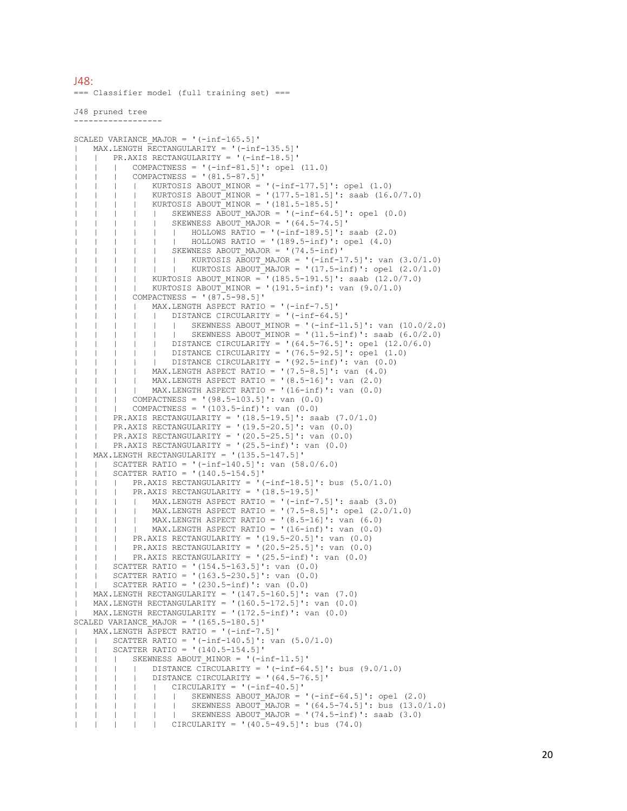$148$ 

=== Classifier model (full training set) ===

J48 pruned tree ------------------

```
SCALED VARIANCE MAJOR = '(-inf-165.5]'
   MAX.LENGTH RECTANGULARITY = '(-inf-135.5]'
       PR.AXIS RECTANGULARITY = '(-inf-18.5]'
           COMPACTNESS = '(-inf-81.5)': opel (11.0)COMPACTNESS = '(81.5-87.5]| KURTOSIS ABOUT MINOR = '(-inf-177.5]': opel (1.0)
        | | KURTOSIS ABOUT MINOR = '(177.5-181.5]': saab (16.0/7.0)
        | | | | KURTOSIS ABOUT_MINOR = '(181.5-185.5]'
       | | | SKEWNESS ABOUT MAJOR = '(-inf-64.5]': opel (0.0)
       | | | | | SKEWNESS ABOUT_MAJOR = '(64.5-74.5]'
       | | | | | | HOLLOWS RATIO = '(-inf-189.5]': saab (2.0)
        | | | | HOLLOWS RATIO = '(189.5-inf)': opel (4.0)
               | SKEWNESS ABOUT MAJOR = '(74.5-inf)'
| | | | | | KURTOSIS ABOUT_MAJOR = '(-inf-17.5]': van (3.0/1.0)
| | | | | | KURTOSIS ABOUT_MAJOR = '(17.5-inf)': opel (2.0/1.0)
       | | KURTOSIS ABOUT MINOR = (185.5-191.5)': saab (12.0/7.0)
       | | | | KURTOSIS ABOUT_MINOR = '(191.5-inf)': van (9.0/1.0)
       | COMPACTNESS = !(87.5-98.5)| | | | MAX.LENGTH ASPECT RATIO = '(-inf-7.5]'
               | \Box DISTANCE CIRCULARITY = \cdot (-inf-64.5]'
        | | | | | | SKEWNESS ABOUT_MINOR = '(-inf-11.5]': van (10.0/2.0)
               | | SKEWNESS ABOUT MINOR = '(11.5-inf)': saab (6.0/2.0)
       | | | DISTANCE CIRCULARITY = '(64.5-76.5]': opel (12.0/6.0)
        | | | | | DISTANCE CIRCULARITY = '(76.5-92.5]': opel (1.0)
       | | | | | DISTANCE CIRCULARITY = '(92.5-inf)': van (0.0)
       | | | | MAX.LENGTH ASPECT RATIO = '(7.5-8.5]': van (4.0)
           | MAX.LENGTH ASPECT RATIO = (8.5-16): van (2.0)| | | | MAX.LENGTH ASPECT RATIO = '(16-inf)': van (0.0)
       | | | COMPACTNESS = '(98.5-103.5]': van (0.0)
    | | | COMPACTNESS = '(103.5-inf)': van (0.0)
   | | PR.AXIS RECTANGULARITY = '(18.5-19.5]': saab (7.0/1.0)
    | | PR.AXIS RECTANGULARITY = '(19.5-20.5]': van (0.0)
       PR.AXIS RECTANGULARITY = '(20.5-25.5]': van (0.0)PR.AXIS RECTANGULARITY = '(25.5-inf)': van (0.0)| MAX.LENGTH RECTANGULARITY = '(135.5-147.5]'
       SCATTER RATIO = '(-inf-140.5)': van (58.0/6.0)SCATTER RATIO = '(140.5-154.5)'PR.AXIS RECTANGULARITY = '(-inf-18.5)': bus (5.0/1.0)PR.AXIS RECTANGULARITY = '(18.5-19.5)| MAX.LENGTH ASPECT RATIO = '(-inf-7.5]': saab (3.0)
               | | | | MAX.LENGTH ASPECT RATIO = '(7.5-8.5]': opel (2.0/1.0)
       | | | | MAX.LENGTH ASPECT RATIO = '(8.5-16]': van (6.0)
       | | | | MAX.LENGTH ASPECT RATIO = '(16-inf)': van (0.0)
       | | | PR.AXIS RECTANGULARITY = '(19.5-20.5]': van (0.0)
           PR.AXIS RECTANGULARITY = '(20.5-25.5] : van (0.0)| | PR.AXIS RECTANGULARITY = '(25.5\text{-inf}) : van (0.0)| | SCATTER RATIO = '(154.5-163.5]': van (0.0)
       SCATTER RATIO = '(163.5-230.5]': van (0.0)SCATTER RATIO = '(230.5\text{-inf})': \text{van } (0.0)MAX.LENGTH RECTANGULARITY = '(147.5-160.5]': van (7.0)MAX.LENGTH RECTANGULARITY = '(160.5-172.5]': van (0.0)
   MAX.LENGTH RECTANGULARITY = '(172.5-inf) : van (0.0)SCALED VARIANCE MAJOR = '(165.5-180.5)MAX.LENGTH \overline{A}SPECT RATIO = '(-inf-7.5]'| SCATTER RATIO = '(-inf-140.5]': van (5.0/1.0)| | SCATTER RATIO = '(140.5-154.5]'
    | | | SKEWNESS ABOUT_MINOR = '(-inf-11.5]'
    | | | DISTANCE CIRCULARITY = '(-inf-64.5]': bus (9.0/1.0)DISTANCE CIRCULARITY = '(64.5-76.5)'| | | CIRCULARITY = '(-inf-40.5]'
        | | | | | | SKEWNESS ABOUT_MAJOR = '(-inf-64.5]': opel (2.0)
               | | | | | | SKEWNESS ABOUT_MAJOR = '(64.5-74.5]': bus (13.0/1.0)
            | | | | | | SKEWNESS ABOUT_MAJOR = '(74.5-inf)': saab (3.0)
               | CIRCULARITY = '(40.5-49.5]': bus (74.0)
```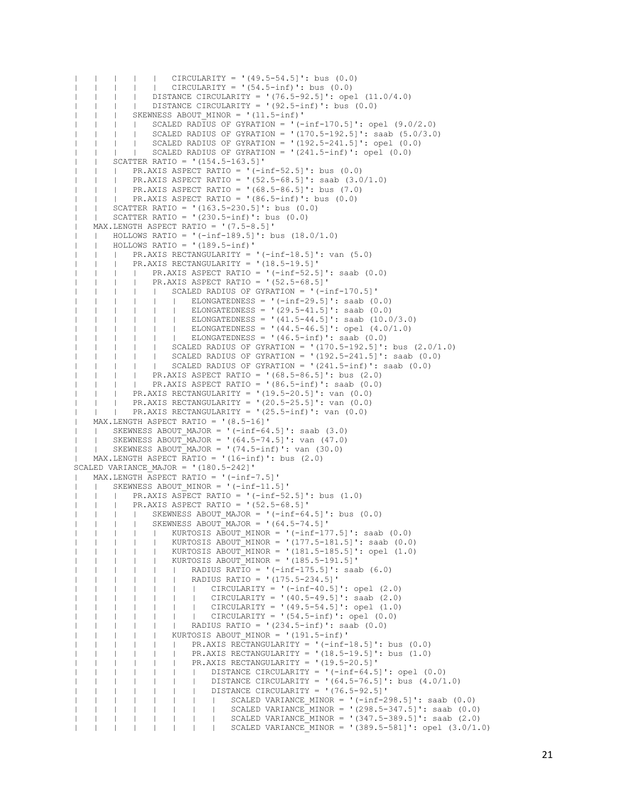```
| | | | | CIRCULARITY = '(49.5-54.5]': bus (0.0)
       | | | CIRCULARITY = '(54.5-inf)': bus (0.0)
           | DISTANCE CIRCULARITY = '(76.5-92.5]': opel (11.0/4.0)<br>| DISTANCE CIRCULARITY = '(92.5-inf)': bus (0.0)
       | | DISTANCE CIRCULARITY = '(92.5\text{-inf}): bus (0.0)| SKEWNESS ABOUT MINOR = '(11.5-inf)'
    | | | SCALED RADIUS OF GYRATION = '(-inf-170.5]': opel (9.0/2.0)\frac{1}{1} | SCALED RADIUS OF GYRATION = '(170.5-192.5]': saab (5.0/3.0)
       | | SCALED RADIUS OF GYRATION = '(192.5-241.5)': opel (0.0)
    | | | SCALED RADIUS OF GYRATION = '(241.5\text{-inf})': opel (0.0)| | SCATTER RATIO = '(154.5-163.5]'
        | PR.AXIS ASPECT RATIO = '(-inf-52.5)': bus (0.0)PR.AXIS ASPECT RATIO = '(52.5-68.5]': saab (3.0/1.0)PR.AXIS ASPECT RATIO = '(68.5-86.5]': bus (7.0)PR.AXIS ABPECT RATIO = '(86.5-inf)': bus (0.0)SCATTER RATIO = '(163.5-230.5)': bus (0.0)| | SCATTER RATIO = '(230.5-inf)': bus (0.0)
   | MAX.LENGTH ASPECT RATIO = '(7.5-8.5]'
   | HOLLOWS RATIO = '(-inf-189.5)': bus (18.0/1.0)HOLLOWS RATIO = '(189.5-inf)'
    | | | PR.AXIS RECTANGULARITY = '(-inf-18.5]': van (5.0)
        | PR.AXIS RECTANGULARITY = '(18.5-19.5]'
            | | | | PR.AXIS ASPECT RATIO = '(-inf-52.5]': saab (0.0)
        | | | | PR.AXIS ASPECT RATIO = '(52.5-68.5]'
        | | | | | SCALED RADIUS OF GYRATION = '(-inf-170.5]'
        | | | | ELONGATEDNESS = '(-inf-29.5)': saab (0.0)ELONGATEDNESS = '(29.5-41.5]': saab (0.0)| | | | ELONGATEDNESS = '(41.5-44.5)': saab (10.0/3.0)
        | | | | | | ELONGATEDNESS = '(44.5-46.5]': opel (4.0/1.0)
                    \overline{ } ELONGATEDNESS = '(46.5-inf)': saab (0.0)
        | | | | | SCALED RADIUS OF GYRATION = '(170.5-192.5]': bus (2.0/1.0)
        | | | | | SCALED RADIUS OF GYRATION = '(192.5-241.5]': saab (0.0)
       | | | SCALED RADIUS OF GYRATION = '(241.5\text{-inf})': saab (0.0)| | | | PR.AXIS ASPECT RATIO = '(68.5-86.5]': bus (2.0)
        | | | | PR.AXIS ASPECT RATIO = '(86.5-inf)': saab (0.0)
        | | | PR.AXIS RECTANGULARITY = '(19.5-20.5]': van (0.0)
           PR.AXIS RECTANGULARITY = '(20.5-25.5]': van (0.0)| PR.AXIS RECTANGULARITY = '(25.5-inf)': van (0.0)
   | MAX.LENGTH ASPECT RATIO = '(8.5-16]'
   | SKEWNESS ABOUT MAJOR = '(-inf-64.5]': saab (3.0)
       SKEWNESS ABOUT MAJOR = (64.5-74.5)': van (47.0)| SKEWNESS ABOUT MAJOR = '(74.5\text{-inf})': \text{van } (30.0)| MAX.LENGTH ASPECT RATIO = '(16-inf)': bus (2.0)
SCALED VARIANCE MAJOR = '(180.5-242)'| MAX.LENGTH ASPECT RATIO = '(-inf-7.5]'
       SKEWNESS ABOUT MINOR = '(-inf-11.5)'PR.AXIS ASPECT RATIO = '(-inf-52.5)': bus (1.0)| | | PR.AXIS ASPECT RATIO = '(52.5-68.5]'
        | | SKEWNESS ABOUT MAJOR = '(-inf-64.5]': bus (0.0)| | SKEWNESS ABOUT MAJOR = '(64.5-74.5)'
                | KURTOSIS ABOUT MINOR = '(-inf-177.5]': saab (0.0)
                    KURTOSIS ABOUT_MINOR = ' (177.5-181.5]': saab (0.0)| | | | | KURTOSIS ABOUT_MINOR = '(181.5-185.5]': opel (1.0)
        (1 \quad 1 \quad 1 \quad KURTOSIS ABOUT-MINOR = ' (185.5-191.5]')| RADIUS RATIO = '(-inf-175.5)': saab (6.0)
        | | | | | | RADIUS RATIO = '(175.5-234.5]'
                    | | CIRCULARITY = '(-inf-40.5]': opel (2.0)
                    | | | CIRCULARITY = '(40.5-49.5]': saab (2.0)
                    | | | | | | | CIRCULARITY = '(49.5-54.5]': opel (1.0)
                | | | CIRCULARITY = '(54.5-inf)': opel (0.0)
                    | RADIUS RATIO = '(234.5-inf)': saab (0.0)
                    KURTOSIS ABOUT MINOR = '(191.5\text{-inf})'| | | | PR.AXIS RECTANGULARITY = ' (-inf-18.5]': bus (0.0)
        | | | | | | PR.AXIS RECTANGULARITY = '(18.5-19.5]': bus (1.0)
                    | PR.AXIS RECTANGULARITY = '(19.5-20.5]'
                    | | | DISTANCE CIRCULARITY = '(-inf-64.5)': opel (0.0)| | | | | | DISTANCE CIRCULARITY = '(64.5-76.5]': bus (4.0/1.0)
                    | | | | | | | DISTANCE CIRCULARITY = '(76.5-92.5]'
                    | | | SCALED VARIANCE MINOR = '(-inf-298.5]': saab (0.0)| | | SCALED VARIANCE MINOR = '(298.5-347.5]': saab (0.0)
                        | | | | | | | | SCALED VARIANCE_MINOR = '(347.5-389.5]': saab (2.0)
                            \frac{1}{1} SCALED VARIANCE MINOR = '(389.5-581]': opel (3.0/1.0)
```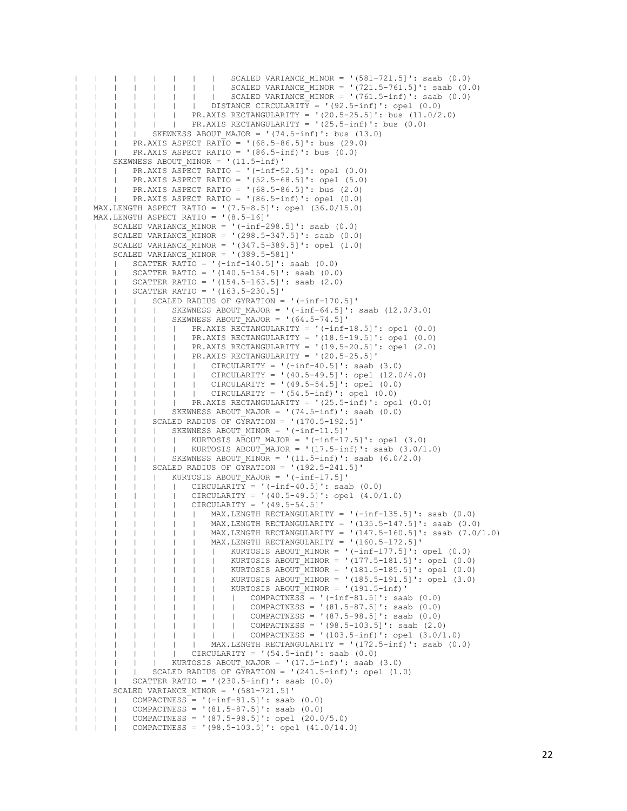```
| | | | | | | | SCALED VARIANCE_MINOR = '(581-721.5]': saab (0.0)
                   | | | SCALED VARIANCE_MINOR = '(721.5-761.5]': saab (0.0)
                       | | SCALED VARIANCE MINOR = '(761.5-inf)': saab (0.0)
                   | | DISTANCE CIRCULARITY = '(92.5-inf)': opel (0.0)
                   | PR.AXIS RECTANGULARITY = '(20.5-25.5]': bus (11.0/2.0)
       | | | | PR.AXIS RECTANGULARITY = '(25.5-inf)': bus (0.0)
       | | SKEWNESS ABOUT MAJOR = '(74.5\text{-inf}): bus (13.0)
       | PR.AXIS ASPECT RATIO = '(68.5-86.5)': bus (29.0)
   | | | PR.AXIS ASPECT RATIO = '(86.5-inf)': bus (0.0)
       SKEWNESS ABOUT MINOR = '(11.5-inf)'
           PR.AXIS ASPECT RATIO = '(-inf-52.5]': opel (0.0)| | | PR.AXIS ASPECT RATIO = '(52.5-68.5]': opel (5.0)
           PR.AXIS ASPECT RATIO = '(68.5-86.5]': bus (2.0)PR.AXIS ASPECT RATIO = '(86.5-inf)': opel (0.0)| MAX.LENGTH ASPECT RATIO = '(7.5-8.5]': opel (36.0/15.0)
   | MAX.LENGTH ASPECT RATIO = '(8.5-16]'
       SCALED VARIANCE MINOR = '(-inf-298.5]': saab (0.0)SCALED VARIANCE MINOR = '(298.5-347.5]': saab (0.0)
   \vert SCALED VARIANCE MINOR = '(347.5-389.5]': opel (1.0)
   \overline{ } | SCALED VARIANCE MINOR = '(389.5-581]'
           SCATTER RATIO = '(-inf-140.5]': saab (0.0)SCATTER RATIO = '(140.5-154.5)': saab (0.0)SCATTER RATIO = '(154.5-163.5)': saab (2.0)
           | | | SCATTER RATIO = '(163.5-230.5]'
               SCALED RADIUS OF GYRATION = ' (-inf-170.5]'
                   SKEWNESS ABOUT MAJOR = '(-inf-64.5)': saab (12.0/3.0)
                   SKEWNESS ABOUT MAJOR = '(64.5-74.5)'| PR.AXIS RECTANGULARITY = '(-inf-18.5]': opel (0.0)
                       | | | | | | PR.AXIS RECTANGULARITY = '(18.5-19.5]': opel (0.0)
           | | | | | | PR.AXIS RECTANGULARITY = '(19.5-20.5]': opel (2.0)
                   | PR.AXIS RECTANGULARITY = '(20.5-25.5]'
       | | | | | | CIRCULARITY = '(-inf-40.5]': saab (3.0)
                   | | CIRCULARITY = '(40.5-49.5]': opel (12.0/4.0)
| | | | | | | CIRCULARITY = '(49.5-54.5]': opel (0.0)
| | | | | | | CIRCULARITY = '(54.5-inf)': opel (0.0)
               | | PR.AXIS RECTANGULARITY = '(25.5\text{-inf})': opel (0.0)| | | | | SKEWNESS ABOUT_MAJOR = '(74.5-inf)': saab (0.0)
           | SCALED RADIUS OF GYRATION = '(170.5-192.5)'
           \frac{1}{1} | SKEWNESS ABOUT MINOR = '(-inf-11.5]'
                   | KURTOSIS ABOUT MAJOR = '(-inf-17.5]': opel (3.0)
               | | KURTOSIS ABOUT\overline{M}AJOR = '(17.5-inf)': saab (3.0/1.0)
               \overline{R} = \frac{1}{11.5-\text{inf}}: saab (6.0/2.0)
           \overline{\text{SCALED} RADIUS OF GYRATION = '(192.5-241.5]'
           | | | | | KURTOSIS ABOUT_MAJOR = '(-inf-17.5]'
                   | CIRCULARITY = '(-inf-40.5]': saab (0.0)CIRCULARITY = ' (40.5-49.5)': opel (4.0/1.0)
                       CIRCULARITY = '(49.5-54.5)'| | | | | MAX.LENGTH RECTANGULARITY = ' (-inf-135.5]': saab (0.0)
                   | | | | | | | MAX.LENGTH RECTANGULARITY = '(135.5-147.5]': saab (0.0)
                   | | | | | | | MAX.LENGTH RECTANGULARITY = '(147.5-160.5]': saab (7.0/1.0)
                   | | | | | | | MAX.LENGTH RECTANGULARITY = '(160.5-172.5]'
                   | | | | | | | | KURTOSIS ABOUT_MINOR = '(-inf-177.5]': opel (0.0)
                   \frac{1}{1} | KURTOSIS ABOUT MINOR = '(177.5-181.5]': opel (0.0)
                       | | KURTOSIS ABOUT MINOR = '(181.5-185.5]': opel (0.0)
                   | | | | | | | | KURTOSIS ABOUT_MINOR = '(185.5-191.5]': opel (3.0)
                   | | | KURTOSIS ABOUT MINOR = '(191.5\text{-inf})'| | | | COMPACTNESS = '(-inf-81.5)': saab (0.0)
                   | | | | | | | | | COMPACTNESS = '(81.5-87.5]': saab (0.0)
| | | | | | | | | COMPACTNESS = '(87.5-98.5]': saab (0.0)
| | | | | | | | | COMPACTNESS = '(98.5-103.5]': saab (2.0)
                   | | | | COMPACTNESS = '(103.5-inf)': opel (3.0/1.0)
       | | | | | | | MAX.LENGTH RECTANGULARITY = '(172.5-inf)': saab (0.0)
       | | | | | | CIRCULARITY = '(54.5-inf)': saab (0.0)
       | | | KURTOSIS ABOUT MAJOR = '(17.5\text{-inf})': saab (3.0)| | | | SCALED RADIUS OF GYRATION = '(241.5-inf)': opel (1.0)
   | | | SCATTER RATIO = '(230.5-inf)': saab (0.0)
       SCALED VARIANCE MINOR = '(581-721.5)'| | COMPACTNESS = '(-inf-81.5]': saab (0.0)
   | | COMPACTNESS = '(81.5-87.5]': saab (0.0)
   | | | COMPACTNESS = '(87.5-98.5]': opel (20.0/5.0)
           COMPACTNESS = '(98.5-103.5]': opel (41.0/14.0)
```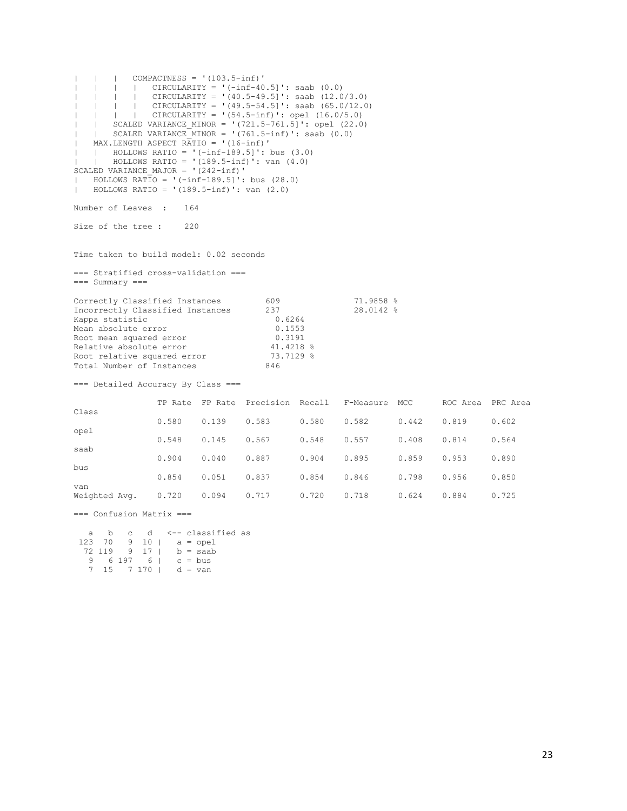| | | COMPACTNESS = '(103.5-inf)'  $|$   $|$   $|$   $|$   $|$   $CIRCULARITY = '(-inf-40.5]'$ : saab  $(0.0)$ | | | | CIRCULARITY = '(40.5-49.5]': saab (12.0/3.0) | | | | CIRCULARITY = '(49.5-54.5]': saab (65.0/12.0) | | | | CIRCULARITY = '(54.5-inf)': opel (16.0/5.0) | | SCALED VARIANCE\_MINOR = '(721.5-761.5]': opel (22.0) |  $|$  SCALED VARIANCE MINOR =  $'(761.5\text{-inf})$  : saab  $(0.0)$ | MAX.LENGTH ASPECT RATIO = '(16-inf)' | | HOLLOWS RATIO =  $\cdot$  (-inf-189.5]': bus (3.0)  $\overline{1}$  HOLLOWS RATIO = '(189.5-inf)': van (4.0)  $SCALED$  VARIANCE MAJOR = ' $(242-inf)$ '  $\overline{1}$  HOLLOWS RATIO = '(-inf-189.5]': bus (28.0) | HOLLOWS RATIO =  $'(189.5\text{-inf})'$ : van  $(2.0)$ Number of Leaves : 164 Size of the tree : 220 Time taken to build model: 0.02 seconds === Stratified cross-validation === === Summary === Correctly Classified Instances 609 71.9858 %<br>Incorrectly Classified Instances 237 28.0142 % Incorrectly Classified Instances 237<br>
Kappa statistic 0.6264<br>
Mean absolute error 0.1553 Kappa statistic Mean absolute error 0.1553 Root mean squared error  $1.3191$ <br>Relative absolute error  $41.4218$ Relative absolute error  $41.4218$  %<br>Root relative squared error  $73.7129$  % Root relative squared error Total Number of Instances 846 === Detailed Accuracy By Class === TP Rate FP Rate Precision Recall F-Measure MCC ROC Area PRC Area Class 0.580 0.139 0.583 0.580 0.582 0.442 0.819 0.602 opel 0.548 0.145 0.567 0.548 0.557 0.408 0.814 0.564 saab 0.904 0.040 0.887 0.904 0.895 0.859 0.953 0.890 bus 0.854 0.051 0.837 0.854 0.846 0.798 0.956 0.850 van Weighted Avg. 0.720 0.094 0.717 0.720 0.718 0.624 0.884 0.725

=== Confusion Matrix ===

| a |  |           |                               | b c d <--- classified as        |  |
|---|--|-----------|-------------------------------|---------------------------------|--|
|   |  |           |                               | $123 \t70 \t9 \t10 \t a = opel$ |  |
|   |  |           |                               | $72 \t119 \t9 \t17 \t b =$ saab |  |
|   |  | 6 197 6 1 |                               | $c = bus$                       |  |
|   |  |           | $7 \t15 \t7 \t170 \t d = van$ |                                 |  |
|   |  |           |                               |                                 |  |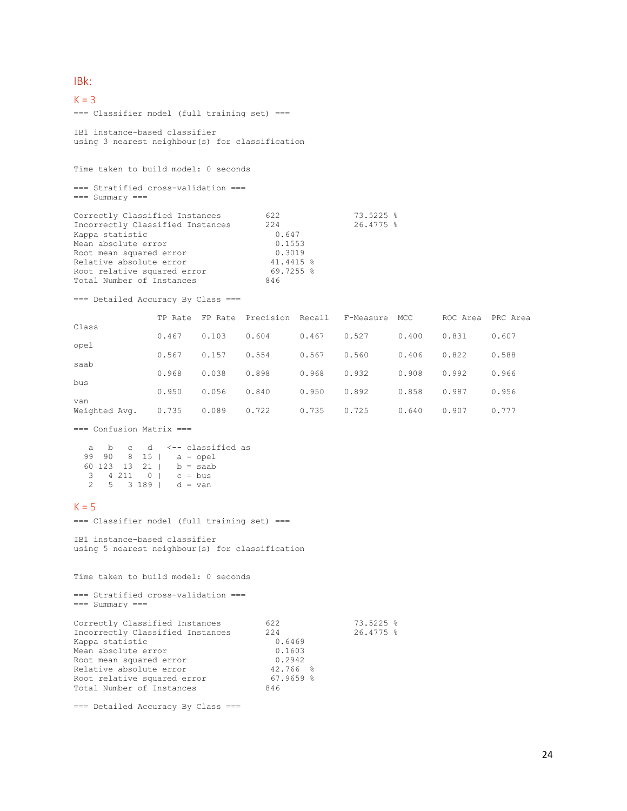### IBk:

### $K = 3$ === Classifier model (full training set) === IB1 instance-based classifier using 3 nearest neighbour(s) for classification

Time taken to build model: 0 seconds

=== Stratified cross-validation === === Summary ===

| 622       | 73.5225 %   |
|-----------|-------------|
| 2.2.4     | $26.4775$ % |
| 0.647     |             |
| 0.1553    |             |
| 0.3019    |             |
| 41.4415 % |             |
| 69.7255 % |             |
| 846       |             |
|           |             |

=== Detailed Accuracy By Class ===

|                      | TP Rate | FP Rate | Precision Recall |       | F-Measure | MCC   | ROC Area | PRC Area |
|----------------------|---------|---------|------------------|-------|-----------|-------|----------|----------|
| Class                | 0.467   | 0.103   | 0.604            | 0.467 | 0.527     | 0.400 | 0.831    | 0.607    |
| opel                 |         |         |                  |       |           |       |          |          |
|                      | 0.567   | 0.157   | 0.554            | 0.567 | 0.560     | 0.406 | 0.822    | 0.588    |
| saab                 | 0.968   | 0.038   | 0.898            | 0.968 | 0.932     | 0.908 | 0.992    | 0.966    |
| bus                  | 0.950   | 0.056   | 0.840            | 0.950 | 0.892     | 0.858 | 0.987    | 0.956    |
| van<br>Weighted Avg. | 0.735   | 0.089   | 0.722            | 0.735 | 0.725     | 0.640 | 0.907    | 0.777    |

=== Confusion Matrix ===

| a |  |  |                         | b c d <--- classified as          |  |
|---|--|--|-------------------------|-----------------------------------|--|
|   |  |  |                         | $99 \t 90 \t 8 \t 15 \t a =$ opel |  |
|   |  |  |                         | 60 123 13 21   b = saab           |  |
| 3 |  |  | $4211$ 0   $c = bus$    |                                   |  |
|   |  |  | $5 \t3 \t189$   d = van |                                   |  |

### $K = 5$

=== Classifier model (full training set) ===

IB1 instance-based classifier using 5 nearest neighbour(s) for classification

Time taken to build model: 0 seconds

=== Stratified cross-validation ===  $==$  Summary  $==$ 

| Correctly Classified Instances   | 622         | 73.5225 %   |
|----------------------------------|-------------|-------------|
| Incorrectly Classified Instances | 2.2.4       | $26.4775$ % |
| Kappa statistic                  | 0.6469      |             |
| Mean absolute error              | 0.1603      |             |
| Root mean squared error          | 0.2942      |             |
| Relative absolute error          | $42.766$ %  |             |
| Root relative squared error      | $67.9659$ % |             |
| Total Number of Instances        | 846         |             |
|                                  |             |             |

=== Detailed Accuracy By Class ===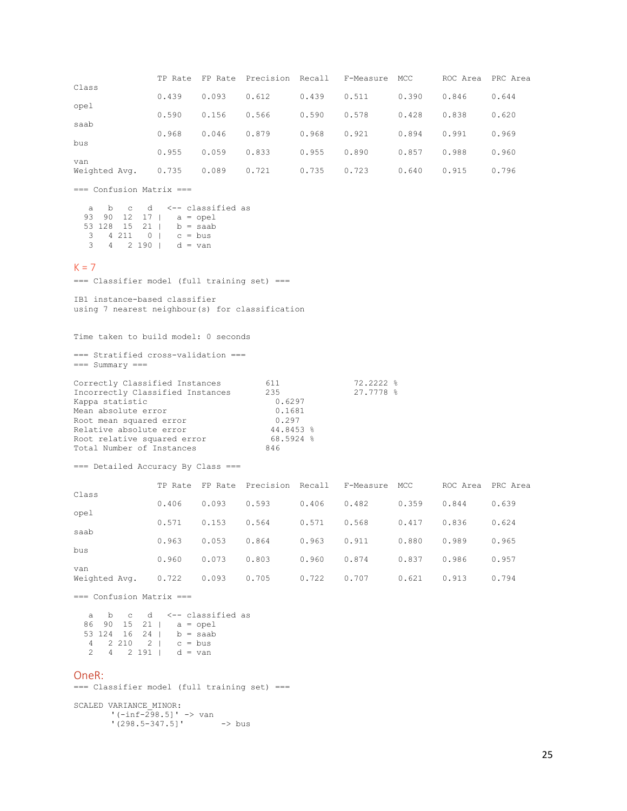|                      | TP Rate |       | FP Rate Precision Recall |       | F-Measure | MCC   | ROC Area | PRC Area |
|----------------------|---------|-------|--------------------------|-------|-----------|-------|----------|----------|
| Class                | 0.439   | 0.093 | 0.612                    | 0.439 | 0.511     | 0.390 | 0.846    | 0.644    |
| opel                 | 0.590   | 0.156 | 0.566                    | 0.590 | 0.578     | 0.428 | 0.838    | 0.620    |
| saab<br>bus          | 0.968   | 0.046 | 0.879                    | 0.968 | 0.921     | 0.894 | 0.991    | 0.969    |
|                      | 0.955   | 0.059 | 0.833                    | 0.955 | 0.890     | 0.857 | 0.988    | 0.960    |
| van<br>Weighted Avg. | 0.735   | 0.089 | 0.721                    | 0.735 | 0.723     | 0.640 | 0.915    | 0.796    |

=== Confusion Matrix ===

|   |  |  | a b c d <-- classified as       |
|---|--|--|---------------------------------|
|   |  |  | 93 90 12 17   $a = opel$        |
|   |  |  | 53 128 15 21   b = saab         |
|   |  |  | 3 4 211 0 c = bus               |
| 3 |  |  | $4 \t2 \t190 \t d = \text{van}$ |

### $K = 7$

=== Classifier model (full training set) ===

IB1 instance-based classifier using 7 nearest neighbour(s) for classification

Time taken to build model: 0 seconds

=== Stratified cross-validation ===  $==$  Summary  $==$ 

| Correctly Classified Instances   | 611       | 72.2222 % |
|----------------------------------|-----------|-----------|
| Incorrectly Classified Instances | 235       | 27.7778 % |
| Kappa statistic                  | 0.6297    |           |
| Mean absolute error              | 0.1681    |           |
| Root mean squared error          | 0.297     |           |
| Relative absolute error          | 44.8453 % |           |
| Root relative squared error      | 68.5924 % |           |
| Total Number of Instances        | 846       |           |

=== Detailed Accuracy By Class ===

|                      | TP Rate | FP Rate | Precision | Recall | F-Measure | MCC   | ROC Area | PRC Area |
|----------------------|---------|---------|-----------|--------|-----------|-------|----------|----------|
| Class                | 0.406   | 0.093   | 0.593     | 0.406  | 0.482     | 0.359 | 0.844    | 0.639    |
| opel                 | 0.571   | 0.153   | 0.564     | 0.571  | 0.568     | 0.417 | 0.836    | 0.624    |
| saab                 | 0.963   | 0.053   | 0.864     | 0.963  | 0.911     | 0.880 | 0.989    | 0.965    |
| bus                  | 0.960   | 0.073   | 0.803     | 0.960  | 0.874     | 0.837 | 0.986    | 0.957    |
| van<br>Weighted Avg. | 0.722   | 0.093   | 0.705     | 0.722  | 0.707     | 0.621 | 0.913    | 0.794    |

=== Confusion Matrix ===

| a |  |                                 |  | b c d <-- classified as |  |
|---|--|---------------------------------|--|-------------------------|--|
|   |  |                                 |  | 86 90 15 21   a = opel  |  |
|   |  |                                 |  | 53 124 16 24   b = saab |  |
|   |  | $4 \t2 \t210 \t21 \t c = bus$   |  |                         |  |
|   |  | $4 \t2 \t191 \t d = \text{van}$ |  |                         |  |

### OneR:

=== Classifier model (full training set) ===

SCALED VARIANCE\_MINOR: '(-inf-298.5]' -> van '(298.5-347.5]' -> bus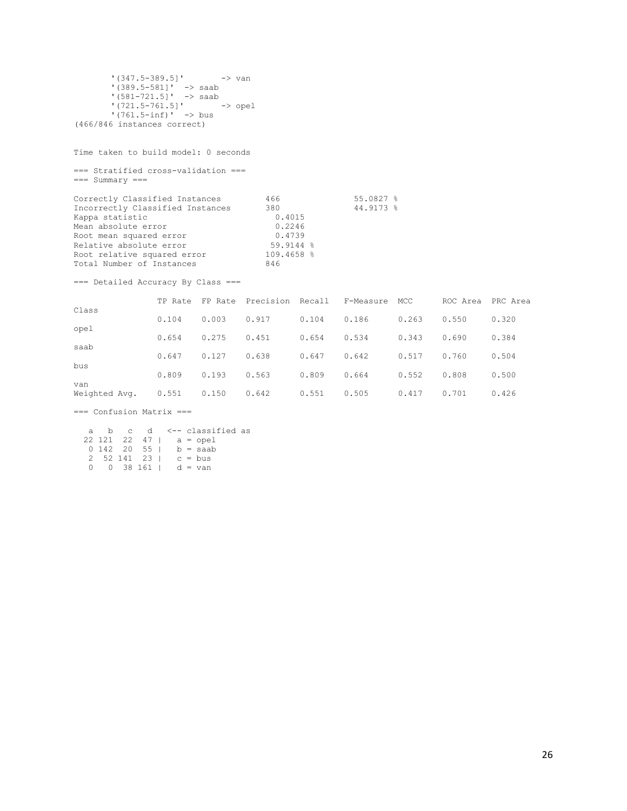```
'(347.5-389.5]' -> van
       '(389.5-581]' -> saab
       '(581-721.5]' -> saab
       '(721.5-761.5]' -> opel
       '(761.5-inf)' -> bus
(466/846 instances correct)
```
Time taken to build model: 0 seconds

=== Stratified cross-validation === === Summary ===

| Correctly Classified Instances   | 466          | 55.0827 % |
|----------------------------------|--------------|-----------|
| Incorrectly Classified Instances | 380          | 44.9173 % |
| Kappa statistic                  | 0.4015       |           |
| Mean absolute error              | 0.2246       |           |
| Root mean squared error          | 0.4739       |           |
| Relative absolute error          | $59.9144$ %  |           |
| Root relative squared error      | $109.4658$ % |           |
| Total Number of Instances        | 846          |           |

=== Detailed Accuracy By Class ===

|               | TP Rate | FP Rate | Precision Recall |       | F-Measure | MCC   | ROC Area | PRC Area |
|---------------|---------|---------|------------------|-------|-----------|-------|----------|----------|
| Class         | 0.104   | 0.003   | 0.917            | 0.104 | 0.186     | 0.263 | 0.550    | 0.320    |
| opel<br>saab  | 0.654   | 0.275   | 0.451            | 0.654 | 0.534     | 0.343 | 0.690    | 0.384    |
| bus           | 0.647   | 0.127   | 0.638            | 0.647 | 0.642     | 0.517 | 0.760    | 0.504    |
| van           | 0.809   | 0.193   | 0.563            | 0.809 | 0.664     | 0.552 | 0.808    | 0.500    |
| Weighted Avg. | 0.551   | 0.150   | 0.642            | 0.551 | 0.505     | 0.417 | 0.701    | 0.426    |

=== Confusion Matrix ===

|        |  |  |                             | a b c d <--classified as  |  |
|--------|--|--|-----------------------------|---------------------------|--|
|        |  |  |                             | $22$ 121 22 47   a = opel |  |
|        |  |  |                             | $0$ 142 20 55   b = saab  |  |
|        |  |  | 2 52 141 23 $\vert$ c = bus |                           |  |
| $\cap$ |  |  | $0$ 38 161   d = van        |                           |  |